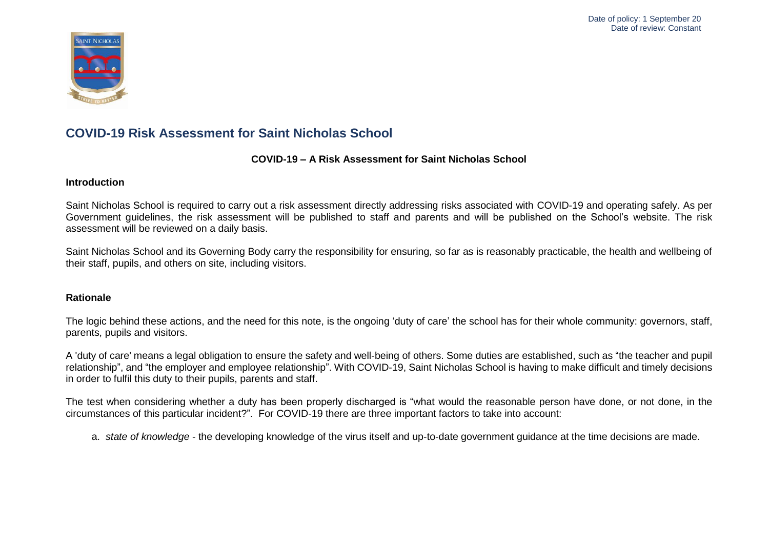

#### **COVID-19 – A Risk Assessment for Saint Nicholas School**

#### **Introduction**

Saint Nicholas School is required to carry out a risk assessment directly addressing risks associated with COVID-19 and operating safely. As per Government guidelines, the risk assessment will be published to staff and parents and will be published on the School's website. The risk assessment will be reviewed on a daily basis.

Saint Nicholas School and its Governing Body carry the responsibility for ensuring, so far as is reasonably practicable, the health and wellbeing of their staff, pupils, and others on site, including visitors.

#### **Rationale**

The logic behind these actions, and the need for this note, is the ongoing 'duty of care' the school has for their whole community: governors, staff, parents, pupils and visitors.

A 'duty of care' means a legal obligation to ensure the safety and well-being of others. Some duties are established, such as "the teacher and pupil relationship", and "the employer and employee relationship". With COVID-19, Saint Nicholas School is having to make difficult and timely decisions in order to fulfil this duty to their pupils, parents and staff.

The test when considering whether a duty has been properly discharged is "what would the reasonable person have done, or not done, in the circumstances of this particular incident?". For COVID-19 there are three important factors to take into account:

a. *state of knowledge* - the developing knowledge of the virus itself and up-to-date government guidance at the time decisions are made.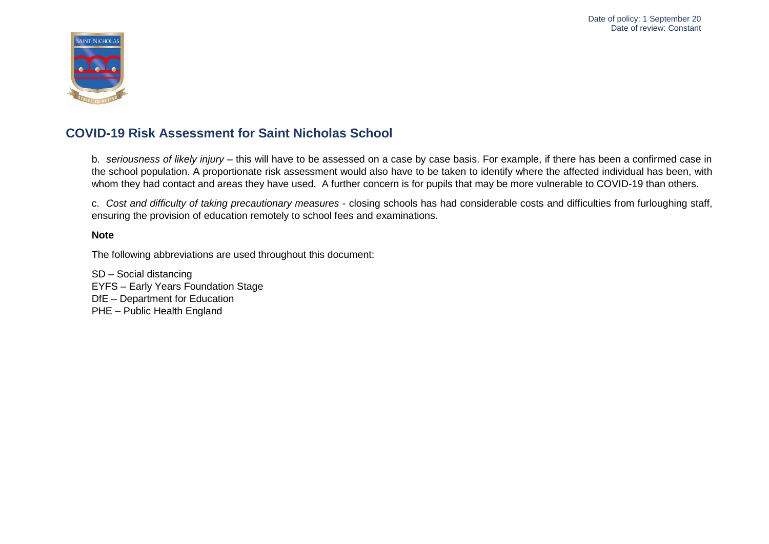

b. *seriousness of likely injury* – this will have to be assessed on a case by case basis. For example, if there has been a confirmed case in the school population. A proportionate risk assessment would also have to be taken to identify where the affected individual has been, with whom they had contact and areas they have used. A further concern is for pupils that may be more vulnerable to COVID-19 than others.

c. *Cost and difficulty of taking precautionary measures* - closing schools has had considerable costs and difficulties from furloughing staff, ensuring the provision of education remotely to school fees and examinations.

#### **Note**

The following abbreviations are used throughout this document:

SD – Social distancing EYFS – Early Years Foundation Stage DfE – Department for Education PHE – Public Health England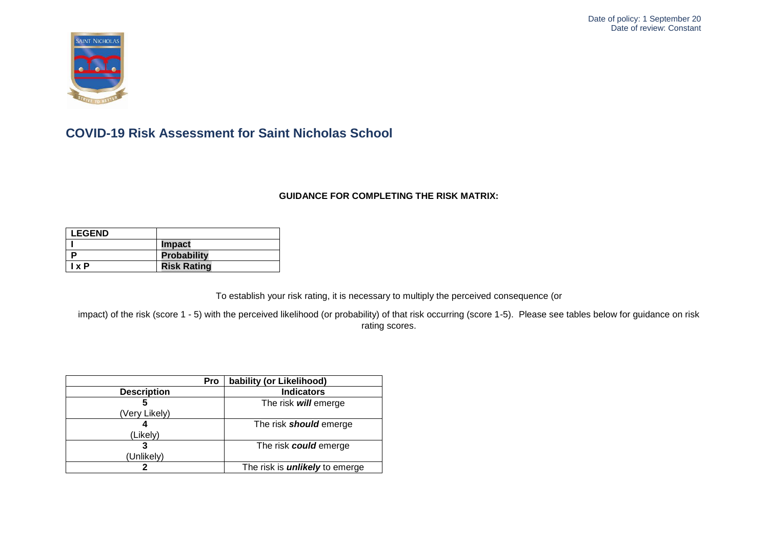

#### **GUIDANCE FOR COMPLETING THE RISK MATRIX:**

| <b>LEGEND</b> |                    |
|---------------|--------------------|
|               | <b>Impact</b>      |
|               | <b>Probability</b> |
| I x P         | <b>Risk Rating</b> |

To establish your risk rating, it is necessary to multiply the perceived consequence (or

impact) of the risk (score 1 - 5) with the perceived likelihood (or probability) of that risk occurring (score 1-5). Please see tables below for guidance on risk rating scores.

| Pro                | bability (or Likelihood)              |
|--------------------|---------------------------------------|
| <b>Description</b> | <b>Indicators</b>                     |
| 5                  | The risk will emerge                  |
| (Very Likely)      |                                       |
|                    | The risk <b>should</b> emerge         |
| (Likely)           |                                       |
|                    | The risk could emerge                 |
| (Unlikely)         |                                       |
|                    | The risk is <i>unlikely</i> to emerge |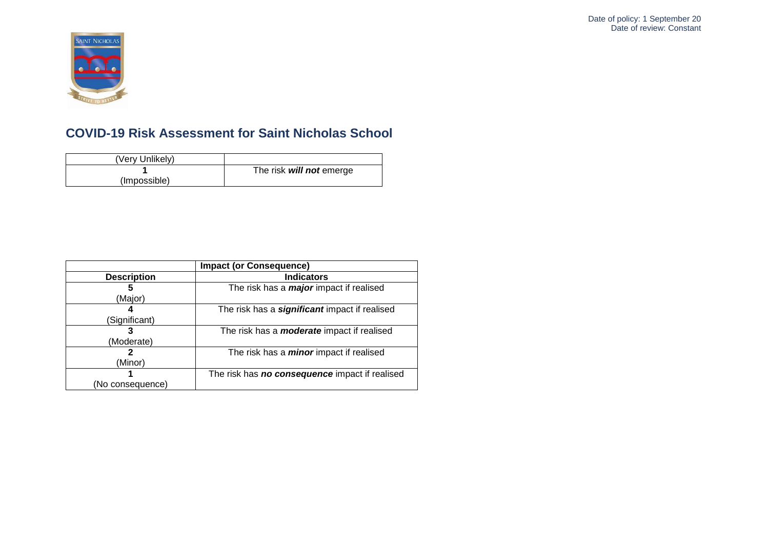

| (Very Unlikely) |                          |
|-----------------|--------------------------|
|                 | The risk will not emerge |
| (Impossible)    |                          |

|                    | <b>Impact (or Consequence)</b>                        |
|--------------------|-------------------------------------------------------|
| <b>Description</b> | <b>Indicators</b>                                     |
|                    | The risk has a <i>major</i> impact if realised        |
| (Major)            |                                                       |
|                    | The risk has a <b>significant</b> impact if realised  |
| (Significant)      |                                                       |
|                    | The risk has a <i>moderate</i> impact if realised     |
| (Moderate)         |                                                       |
|                    | The risk has a <i>minor</i> impact if realised        |
| (Minor)            |                                                       |
|                    | The risk has <b>no consequence</b> impact if realised |
| (No consequence)   |                                                       |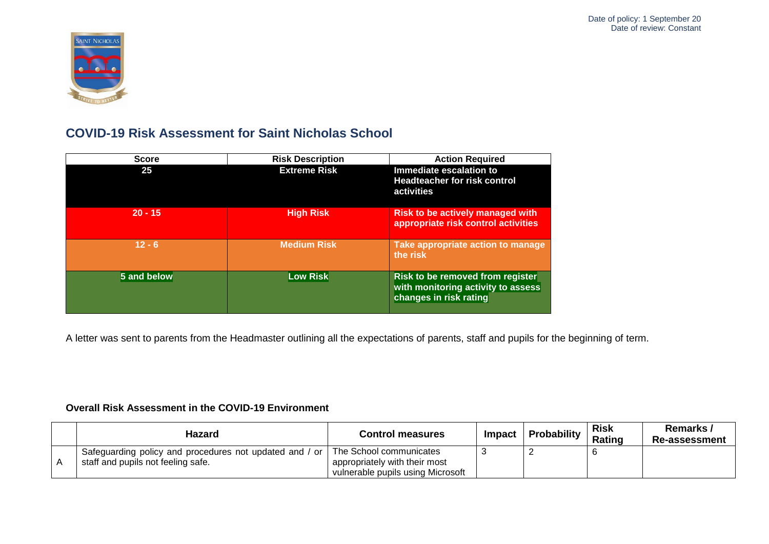

| <b>Score</b> | <b>Risk Description</b> | <b>Action Required</b>                                                                           |
|--------------|-------------------------|--------------------------------------------------------------------------------------------------|
| 25           | <b>Extreme Risk</b>     | Immediate escalation to<br><b>Headteacher for risk control</b><br>activities                     |
| $20 - 15$    | <b>High Risk</b>        | <b>Risk to be actively managed with</b><br>appropriate risk control activities                   |
| $12 - 6$     | <b>Medium Risk</b>      | Take appropriate action to manage<br>the risk                                                    |
| 5 and below  | <b>Low Risk</b>         | Risk to be removed from register<br>with monitoring activity to assess<br>changes in risk rating |

A letter was sent to parents from the Headmaster outlining all the expectations of parents, staff and pupils for the beginning of term.

#### **Overall Risk Assessment in the COVID-19 Environment**

| Hazard                                                  | <b>Control measures</b>           | Impact | Probability | <b>Risk</b><br>Rating | Remarks /<br><b>Re-assessment</b> |
|---------------------------------------------------------|-----------------------------------|--------|-------------|-----------------------|-----------------------------------|
| Safeguarding policy and procedures not updated and / or | The School communicates           |        |             |                       |                                   |
| staff and pupils not feeling safe.                      | appropriately with their most     |        |             |                       |                                   |
|                                                         | vulnerable pupils using Microsoft |        |             |                       |                                   |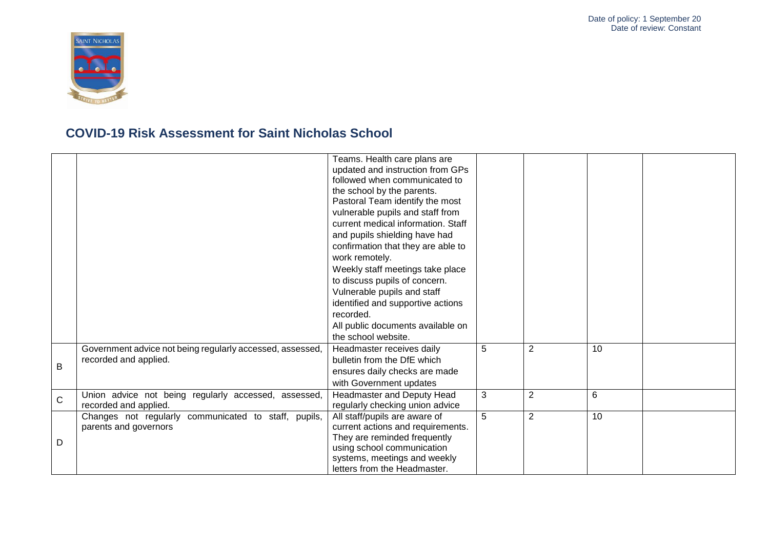

|              |                                                                                    | Teams. Health care plans are<br>updated and instruction from GPs<br>followed when communicated to<br>the school by the parents.<br>Pastoral Team identify the most<br>vulnerable pupils and staff from<br>current medical information. Staff<br>and pupils shielding have had<br>confirmation that they are able to<br>work remotely.<br>Weekly staff meetings take place<br>to discuss pupils of concern.<br>Vulnerable pupils and staff<br>identified and supportive actions<br>recorded.<br>All public documents available on<br>the school website. |   |                |    |  |
|--------------|------------------------------------------------------------------------------------|---------------------------------------------------------------------------------------------------------------------------------------------------------------------------------------------------------------------------------------------------------------------------------------------------------------------------------------------------------------------------------------------------------------------------------------------------------------------------------------------------------------------------------------------------------|---|----------------|----|--|
| B            | Government advice not being regularly accessed, assessed,<br>recorded and applied. | Headmaster receives daily<br>bulletin from the DfE which<br>ensures daily checks are made<br>with Government updates                                                                                                                                                                                                                                                                                                                                                                                                                                    | 5 | $\overline{2}$ | 10 |  |
| $\mathsf{C}$ | Union advice not being regularly accessed, assessed,<br>recorded and applied.      | Headmaster and Deputy Head<br>regularly checking union advice                                                                                                                                                                                                                                                                                                                                                                                                                                                                                           | 3 | $\overline{2}$ | 6  |  |
| D            | Changes not regularly communicated to staff, pupils,<br>parents and governors      | All staff/pupils are aware of<br>current actions and requirements.<br>They are reminded frequently<br>using school communication<br>systems, meetings and weekly<br>letters from the Headmaster.                                                                                                                                                                                                                                                                                                                                                        | 5 | $\overline{2}$ | 10 |  |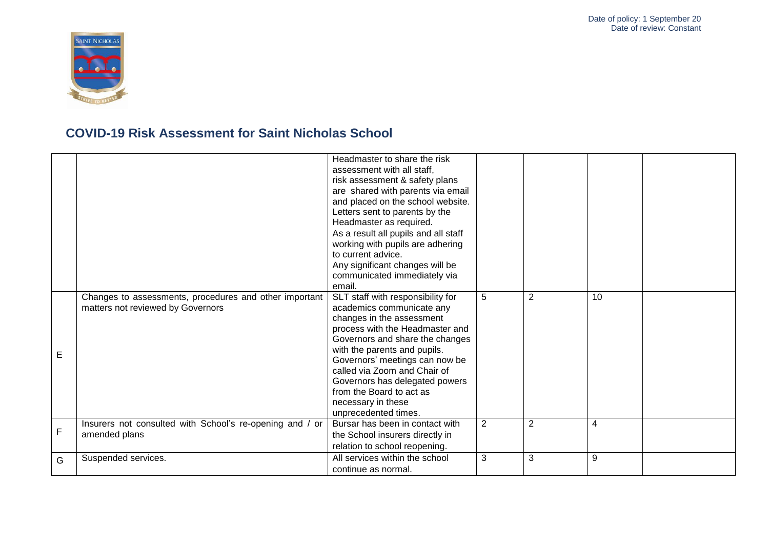

|   |                                                                                             | Headmaster to share the risk<br>assessment with all staff.<br>risk assessment & safety plans<br>are shared with parents via email<br>and placed on the school website.<br>Letters sent to parents by the<br>Headmaster as required.<br>As a result all pupils and all staff<br>working with pupils are adhering<br>to current advice.<br>Any significant changes will be<br>communicated immediately via<br>email. |                |                |                |  |
|---|---------------------------------------------------------------------------------------------|--------------------------------------------------------------------------------------------------------------------------------------------------------------------------------------------------------------------------------------------------------------------------------------------------------------------------------------------------------------------------------------------------------------------|----------------|----------------|----------------|--|
| E | Changes to assessments, procedures and other important<br>matters not reviewed by Governors | SLT staff with responsibility for<br>academics communicate any<br>changes in the assessment<br>process with the Headmaster and<br>Governors and share the changes<br>with the parents and pupils.<br>Governors' meetings can now be<br>called via Zoom and Chair of<br>Governors has delegated powers<br>from the Board to act as<br>necessary in these<br>unprecedented times.                                    | 5              | $\overline{2}$ | 10             |  |
| F | Insurers not consulted with School's re-opening and / or<br>amended plans                   | Bursar has been in contact with<br>the School insurers directly in<br>relation to school reopening.                                                                                                                                                                                                                                                                                                                | $\overline{2}$ | $\overline{2}$ | $\overline{4}$ |  |
| G | Suspended services.                                                                         | All services within the school<br>continue as normal.                                                                                                                                                                                                                                                                                                                                                              | 3              | 3              | 9              |  |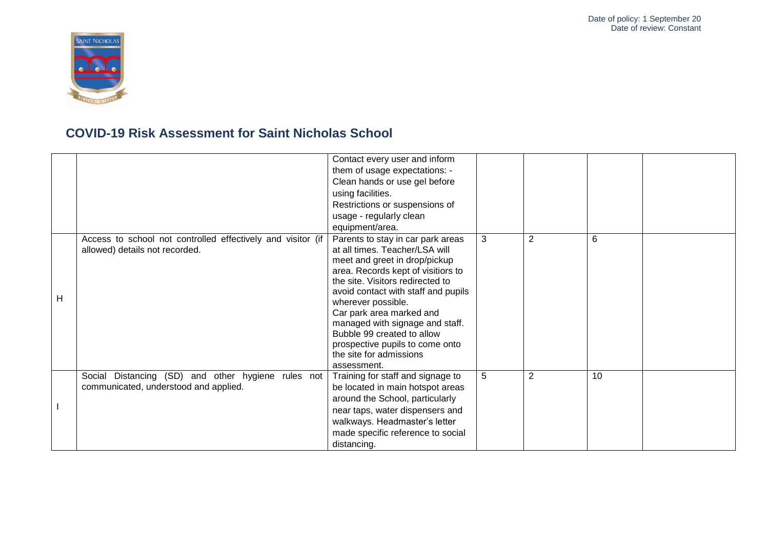

|   |                                                                                               | Contact every user and inform<br>them of usage expectations: -<br>Clean hands or use gel before<br>using facilities.<br>Restrictions or suspensions of<br>usage - regularly clean<br>equipment/area.                                                                                                                                                                                                                  |   |                |    |  |
|---|-----------------------------------------------------------------------------------------------|-----------------------------------------------------------------------------------------------------------------------------------------------------------------------------------------------------------------------------------------------------------------------------------------------------------------------------------------------------------------------------------------------------------------------|---|----------------|----|--|
| H | Access to school not controlled effectively and visitor (if<br>allowed) details not recorded. | Parents to stay in car park areas<br>at all times. Teacher/LSA will<br>meet and greet in drop/pickup<br>area. Records kept of visitiors to<br>the site. Visitors redirected to<br>avoid contact with staff and pupils<br>wherever possible.<br>Car park area marked and<br>managed with signage and staff.<br>Bubble 99 created to allow<br>prospective pupils to come onto<br>the site for admissions<br>assessment. | 3 | $\overline{2}$ | 6  |  |
|   | Social Distancing (SD) and other hygiene rules not<br>communicated, understood and applied.   | Training for staff and signage to<br>be located in main hotspot areas<br>around the School, particularly<br>near taps, water dispensers and<br>walkways. Headmaster's letter<br>made specific reference to social<br>distancing.                                                                                                                                                                                      | 5 | $\overline{2}$ | 10 |  |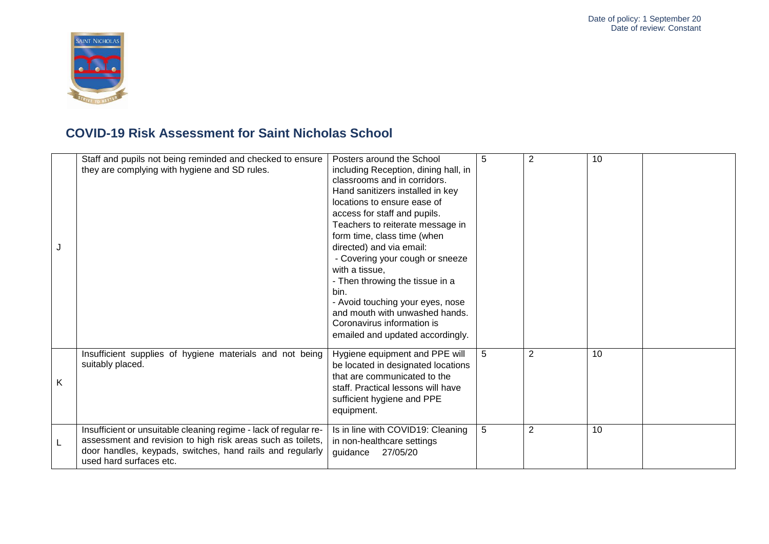

|   | Staff and pupils not being reminded and checked to ensure<br>they are complying with hygiene and SD rules.                                                                                                              | Posters around the School<br>including Reception, dining hall, in<br>classrooms and in corridors.<br>Hand sanitizers installed in key<br>locations to ensure ease of<br>access for staff and pupils.<br>Teachers to reiterate message in<br>form time, class time (when<br>directed) and via email:<br>- Covering your cough or sneeze<br>with a tissue.<br>- Then throwing the tissue in a<br>bin.<br>- Avoid touching your eyes, nose<br>and mouth with unwashed hands.<br>Coronavirus information is<br>emailed and updated accordingly. | 5 | $\overline{2}$ | 10 |  |
|---|-------------------------------------------------------------------------------------------------------------------------------------------------------------------------------------------------------------------------|---------------------------------------------------------------------------------------------------------------------------------------------------------------------------------------------------------------------------------------------------------------------------------------------------------------------------------------------------------------------------------------------------------------------------------------------------------------------------------------------------------------------------------------------|---|----------------|----|--|
| K | Insufficient supplies of hygiene materials and not being<br>suitably placed.                                                                                                                                            | Hygiene equipment and PPE will<br>be located in designated locations<br>that are communicated to the<br>staff. Practical lessons will have<br>sufficient hygiene and PPE<br>equipment.                                                                                                                                                                                                                                                                                                                                                      | 5 | 2              | 10 |  |
|   | Insufficient or unsuitable cleaning regime - lack of regular re-<br>assessment and revision to high risk areas such as toilets,<br>door handles, keypads, switches, hand rails and regularly<br>used hard surfaces etc. | Is in line with COVID19: Cleaning<br>in non-healthcare settings<br>guidance<br>27/05/20                                                                                                                                                                                                                                                                                                                                                                                                                                                     | 5 | $\overline{2}$ | 10 |  |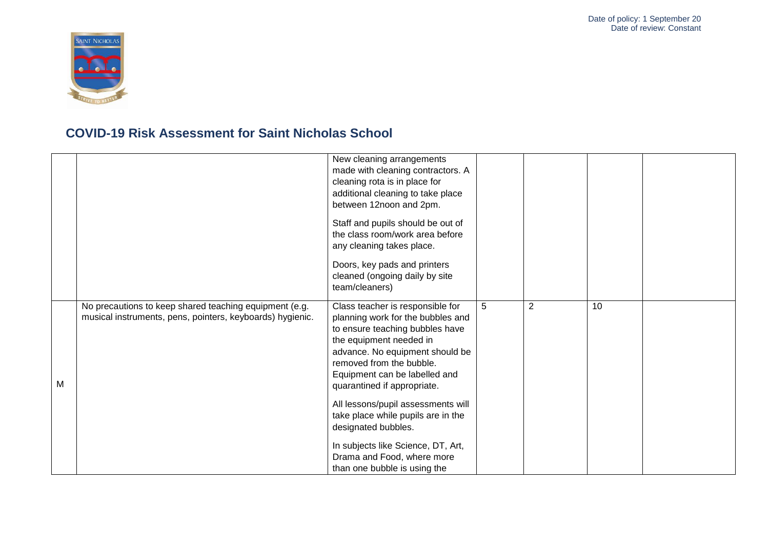

|   |                                                                                                                     | New cleaning arrangements<br>made with cleaning contractors. A<br>cleaning rota is in place for<br>additional cleaning to take place<br>between 12noon and 2pm.<br>Staff and pupils should be out of<br>the class room/work area before<br>any cleaning takes place.<br>Doors, key pads and printers<br>cleaned (ongoing daily by site<br>team/cleaners) |   |                |    |  |
|---|---------------------------------------------------------------------------------------------------------------------|----------------------------------------------------------------------------------------------------------------------------------------------------------------------------------------------------------------------------------------------------------------------------------------------------------------------------------------------------------|---|----------------|----|--|
| M | No precautions to keep shared teaching equipment (e.g.<br>musical instruments, pens, pointers, keyboards) hygienic. | Class teacher is responsible for<br>planning work for the bubbles and<br>to ensure teaching bubbles have<br>the equipment needed in<br>advance. No equipment should be<br>removed from the bubble.<br>Equipment can be labelled and<br>quarantined if appropriate.                                                                                       | 5 | $\overline{2}$ | 10 |  |
|   |                                                                                                                     | All lessons/pupil assessments will<br>take place while pupils are in the<br>designated bubbles.<br>In subjects like Science, DT, Art,                                                                                                                                                                                                                    |   |                |    |  |
|   |                                                                                                                     | Drama and Food, where more<br>than one bubble is using the                                                                                                                                                                                                                                                                                               |   |                |    |  |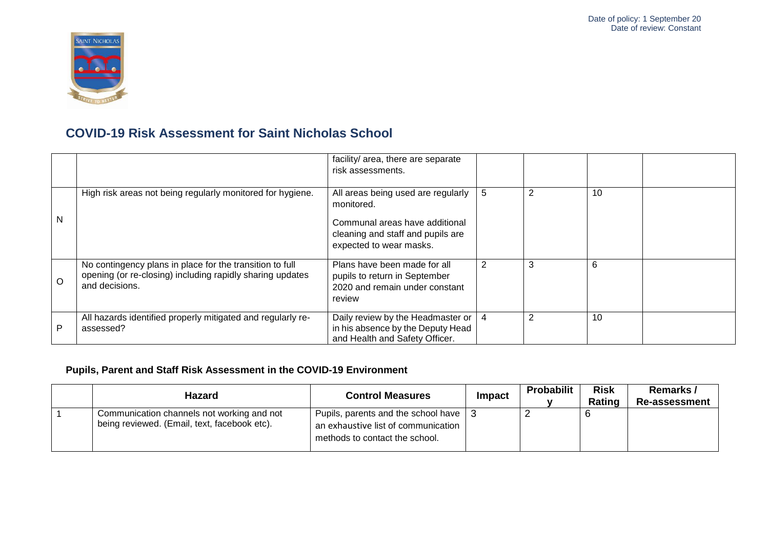

|         |                                                                                                                                         | facility/ area, there are separate<br>risk assessments.                                                                                            |   |   |    |  |
|---------|-----------------------------------------------------------------------------------------------------------------------------------------|----------------------------------------------------------------------------------------------------------------------------------------------------|---|---|----|--|
| N       | High risk areas not being regularly monitored for hygiene.                                                                              | All areas being used are regularly<br>monitored.<br>Communal areas have additional<br>cleaning and staff and pupils are<br>expected to wear masks. | 5 | 2 | 10 |  |
| $\circ$ | No contingency plans in place for the transition to full<br>opening (or re-closing) including rapidly sharing updates<br>and decisions. | Plans have been made for all<br>pupils to return in September<br>2020 and remain under constant<br>review                                          | 2 | 3 | 6  |  |
| P       | All hazards identified properly mitigated and regularly re-<br>assessed?                                                                | Daily review by the Headmaster or<br>in his absence by the Deputy Head<br>and Health and Safety Officer.                                           | 4 | 2 | 10 |  |

#### **Pupils, Parent and Staff Risk Assessment in the COVID-19 Environment**

| <b>Hazard</b>                                                                              | <b>Control Measures</b>                                                                                      | <b>Impact</b> | <b>Probabilit</b><br>v | <b>Risk</b><br>Rating | Remarks /<br><b>Re-assessment</b> |
|--------------------------------------------------------------------------------------------|--------------------------------------------------------------------------------------------------------------|---------------|------------------------|-----------------------|-----------------------------------|
| Communication channels not working and not<br>being reviewed. (Email, text, facebook etc). | Pupils, parents and the school have<br>an exhaustive list of communication<br>methods to contact the school. |               |                        |                       |                                   |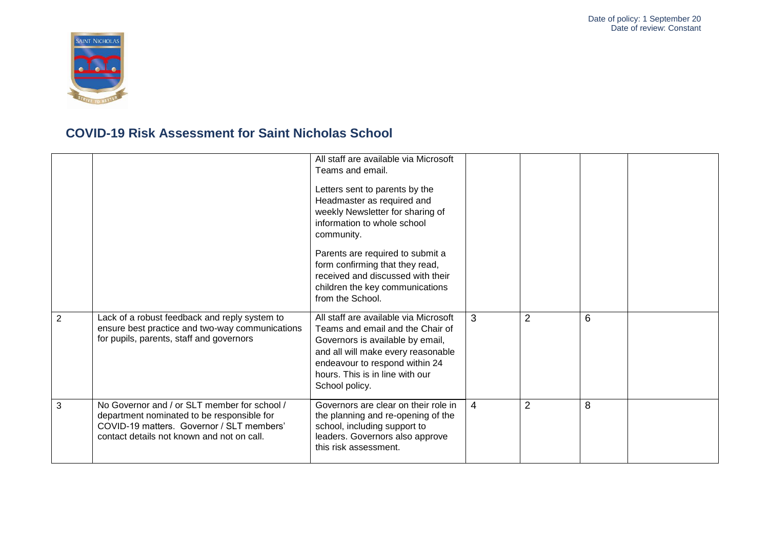

|                |                                                                                                                                                                                       | All staff are available via Microsoft<br>Teams and email.<br>Letters sent to parents by the<br>Headmaster as required and<br>weekly Newsletter for sharing of<br>information to whole school<br>community.<br>Parents are required to submit a<br>form confirming that they read,<br>received and discussed with their<br>children the key communications<br>from the School. |                |                |   |  |
|----------------|---------------------------------------------------------------------------------------------------------------------------------------------------------------------------------------|-------------------------------------------------------------------------------------------------------------------------------------------------------------------------------------------------------------------------------------------------------------------------------------------------------------------------------------------------------------------------------|----------------|----------------|---|--|
| $\overline{2}$ | Lack of a robust feedback and reply system to<br>ensure best practice and two-way communications<br>for pupils, parents, staff and governors                                          | All staff are available via Microsoft<br>Teams and email and the Chair of<br>Governors is available by email,<br>and all will make every reasonable<br>endeavour to respond within 24<br>hours. This is in line with our<br>School policy.                                                                                                                                    | 3              | $\overline{2}$ | 6 |  |
| 3              | No Governor and / or SLT member for school /<br>department nominated to be responsible for<br>COVID-19 matters. Governor / SLT members'<br>contact details not known and not on call. | Governors are clear on their role in<br>the planning and re-opening of the<br>school, including support to<br>leaders. Governors also approve<br>this risk assessment.                                                                                                                                                                                                        | $\overline{4}$ | $\overline{2}$ | 8 |  |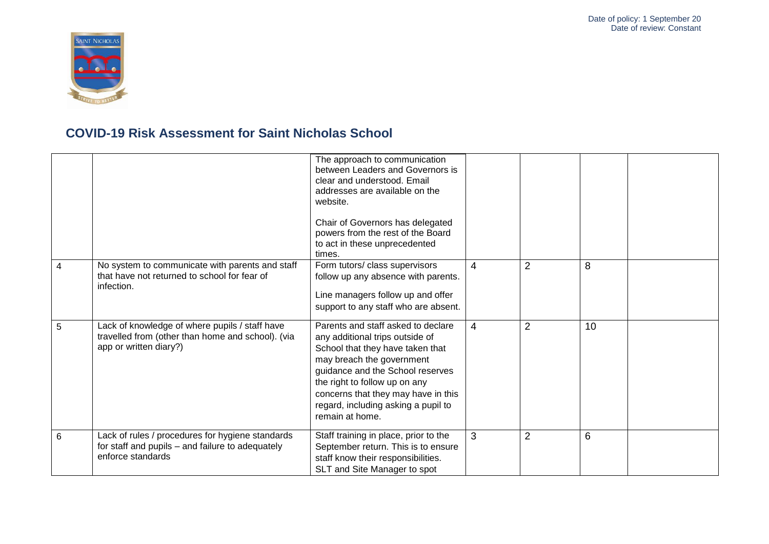

|                |                                                                                                                               | The approach to communication<br>between Leaders and Governors is<br>clear and understood. Email<br>addresses are available on the<br>website.<br>Chair of Governors has delegated<br>powers from the rest of the Board<br>to act in these unprecedented<br>times.                                           |                |                |    |  |
|----------------|-------------------------------------------------------------------------------------------------------------------------------|--------------------------------------------------------------------------------------------------------------------------------------------------------------------------------------------------------------------------------------------------------------------------------------------------------------|----------------|----------------|----|--|
| $\overline{4}$ | No system to communicate with parents and staff<br>that have not returned to school for fear of<br>infection.                 | Form tutors/ class supervisors<br>follow up any absence with parents.<br>Line managers follow up and offer<br>support to any staff who are absent.                                                                                                                                                           | $\overline{4}$ | $\overline{2}$ | 8  |  |
| 5              | Lack of knowledge of where pupils / staff have<br>travelled from (other than home and school). (via<br>app or written diary?) | Parents and staff asked to declare<br>any additional trips outside of<br>School that they have taken that<br>may breach the government<br>guidance and the School reserves<br>the right to follow up on any<br>concerns that they may have in this<br>regard, including asking a pupil to<br>remain at home. | $\overline{4}$ | $\overline{2}$ | 10 |  |
| 6              | Lack of rules / procedures for hygiene standards<br>for staff and pupils - and failure to adequately<br>enforce standards     | Staff training in place, prior to the<br>September return. This is to ensure<br>staff know their responsibilities.<br>SLT and Site Manager to spot                                                                                                                                                           | 3              | $\overline{2}$ | 6  |  |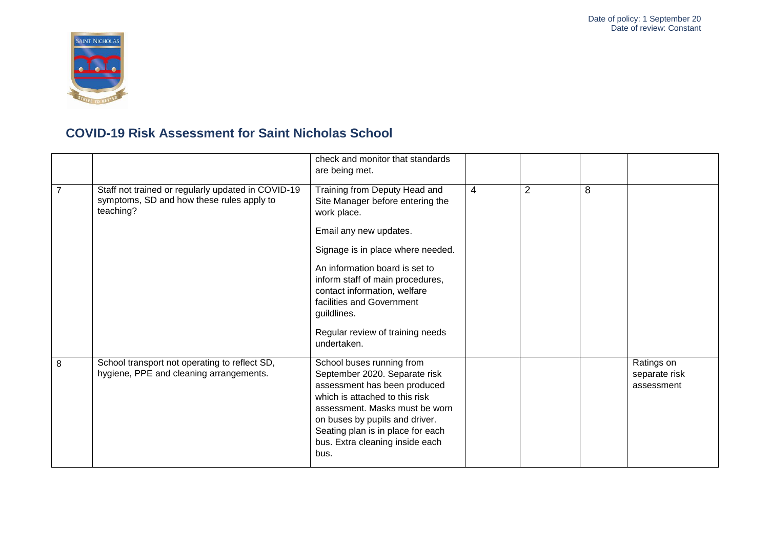

|                |                                                                                                              | check and monitor that standards<br>are being met.                                                                                                                                                                                                                                                                                                   |                |                |   |                                           |
|----------------|--------------------------------------------------------------------------------------------------------------|------------------------------------------------------------------------------------------------------------------------------------------------------------------------------------------------------------------------------------------------------------------------------------------------------------------------------------------------------|----------------|----------------|---|-------------------------------------------|
| $\overline{7}$ | Staff not trained or regularly updated in COVID-19<br>symptoms, SD and how these rules apply to<br>teaching? | Training from Deputy Head and<br>Site Manager before entering the<br>work place.<br>Email any new updates.<br>Signage is in place where needed.<br>An information board is set to<br>inform staff of main procedures,<br>contact information, welfare<br>facilities and Government<br>guildlines.<br>Regular review of training needs<br>undertaken. | $\overline{4}$ | $\overline{2}$ | 8 |                                           |
| 8              | School transport not operating to reflect SD,<br>hygiene, PPE and cleaning arrangements.                     | School buses running from<br>September 2020. Separate risk<br>assessment has been produced<br>which is attached to this risk<br>assessment. Masks must be worn<br>on buses by pupils and driver.<br>Seating plan is in place for each<br>bus. Extra cleaning inside each<br>bus.                                                                     |                |                |   | Ratings on<br>separate risk<br>assessment |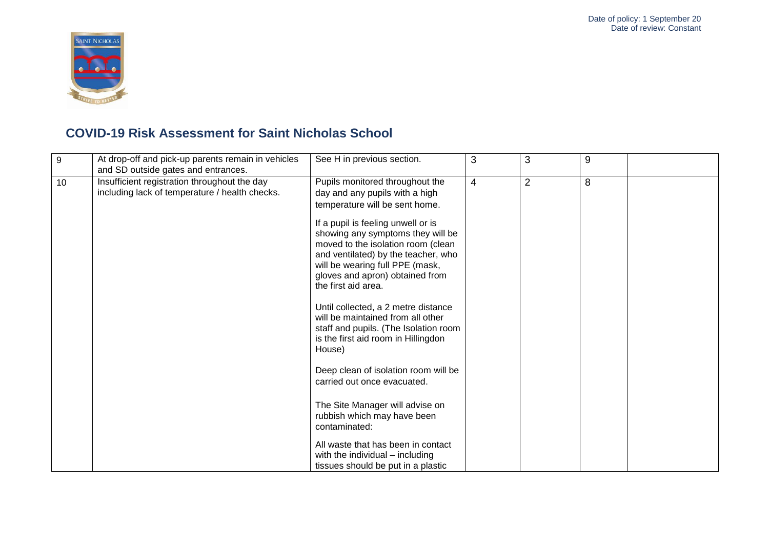

| 9  | At drop-off and pick-up parents remain in vehicles<br>and SD outside gates and entrances.      | See H in previous section.                                                                                                                                                                                                                                                                                                                                                                                                                                                                                                                                                                                                                                                                                                                                                                              | 3              | 3              | 9 |  |
|----|------------------------------------------------------------------------------------------------|---------------------------------------------------------------------------------------------------------------------------------------------------------------------------------------------------------------------------------------------------------------------------------------------------------------------------------------------------------------------------------------------------------------------------------------------------------------------------------------------------------------------------------------------------------------------------------------------------------------------------------------------------------------------------------------------------------------------------------------------------------------------------------------------------------|----------------|----------------|---|--|
| 10 | Insufficient registration throughout the day<br>including lack of temperature / health checks. | Pupils monitored throughout the<br>day and any pupils with a high<br>temperature will be sent home.<br>If a pupil is feeling unwell or is<br>showing any symptoms they will be<br>moved to the isolation room (clean<br>and ventilated) by the teacher, who<br>will be wearing full PPE (mask,<br>gloves and apron) obtained from<br>the first aid area.<br>Until collected, a 2 metre distance<br>will be maintained from all other<br>staff and pupils. (The Isolation room<br>is the first aid room in Hillingdon<br>House)<br>Deep clean of isolation room will be<br>carried out once evacuated.<br>The Site Manager will advise on<br>rubbish which may have been<br>contaminated:<br>All waste that has been in contact<br>with the individual - including<br>tissues should be put in a plastic | $\overline{4}$ | $\overline{2}$ | 8 |  |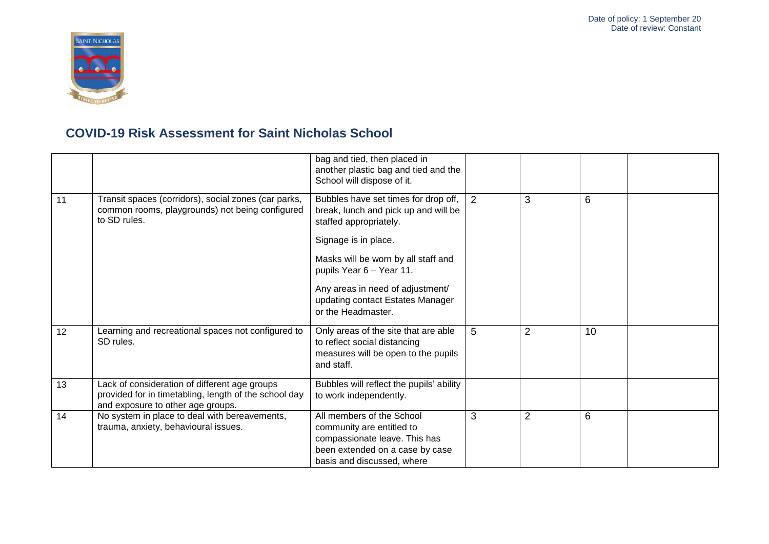

|    |                                                                                                                                             | bag and tied, then placed in<br>another plastic bag and tied and the<br>School will dispose of it.                                                                                                                                                                                              |   |                |    |  |
|----|---------------------------------------------------------------------------------------------------------------------------------------------|-------------------------------------------------------------------------------------------------------------------------------------------------------------------------------------------------------------------------------------------------------------------------------------------------|---|----------------|----|--|
| 11 | Transit spaces (corridors), social zones (car parks,<br>common rooms, playgrounds) not being configured<br>to SD rules.                     | Bubbles have set times for drop off,<br>break, lunch and pick up and will be<br>staffed appropriately.<br>Signage is in place.<br>Masks will be worn by all staff and<br>pupils Year 6 - Year 11.<br>Any areas in need of adjustment/<br>updating contact Estates Manager<br>or the Headmaster. | 2 | 3              | 6  |  |
| 12 | Learning and recreational spaces not configured to<br>SD rules.                                                                             | Only areas of the site that are able<br>to reflect social distancing<br>measures will be open to the pupils<br>and staff.                                                                                                                                                                       | 5 | 2              | 10 |  |
| 13 | Lack of consideration of different age groups<br>provided for in timetabling, length of the school day<br>and exposure to other age groups. | Bubbles will reflect the pupils' ability<br>to work independently.                                                                                                                                                                                                                              |   |                |    |  |
| 14 | No system in place to deal with bereavements,<br>trauma, anxiety, behavioural issues.                                                       | All members of the School<br>community are entitled to<br>compassionate leave. This has<br>been extended on a case by case<br>basis and discussed, where                                                                                                                                        | 3 | $\overline{2}$ | 6  |  |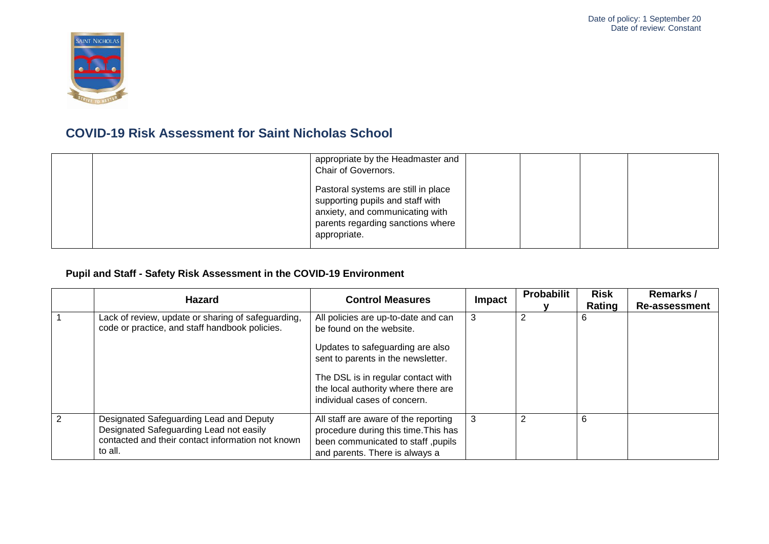

| appropriate by the Headmaster and<br>Chair of Governors.                                                                                                        |  |
|-----------------------------------------------------------------------------------------------------------------------------------------------------------------|--|
| Pastoral systems are still in place<br>supporting pupils and staff with<br>anxiety, and communicating with<br>parents regarding sanctions where<br>appropriate. |  |

#### **Pupil and Staff - Safety Risk Assessment in the COVID-19 Environment**

|               | <b>Hazard</b>                                                                                                                                      | <b>Control Measures</b>                                                                                                                              | <b>Impact</b> | <b>Probabilit</b> | <b>Risk</b><br>Rating | Remarks /<br><b>Re-assessment</b> |
|---------------|----------------------------------------------------------------------------------------------------------------------------------------------------|------------------------------------------------------------------------------------------------------------------------------------------------------|---------------|-------------------|-----------------------|-----------------------------------|
|               | Lack of review, update or sharing of safeguarding,<br>code or practice, and staff handbook policies.                                               | All policies are up-to-date and can<br>be found on the website.<br>Updates to safeguarding are also<br>sent to parents in the newsletter.            | 3             | $\overline{2}$    | 6                     |                                   |
|               |                                                                                                                                                    | The DSL is in regular contact with<br>the local authority where there are<br>individual cases of concern.                                            |               |                   |                       |                                   |
| $\mathcal{P}$ | Designated Safeguarding Lead and Deputy<br>Designated Safeguarding Lead not easily<br>contacted and their contact information not known<br>to all. | All staff are aware of the reporting<br>procedure during this time. This has<br>been communicated to staff, pupils<br>and parents. There is always a | 3             |                   | 6                     |                                   |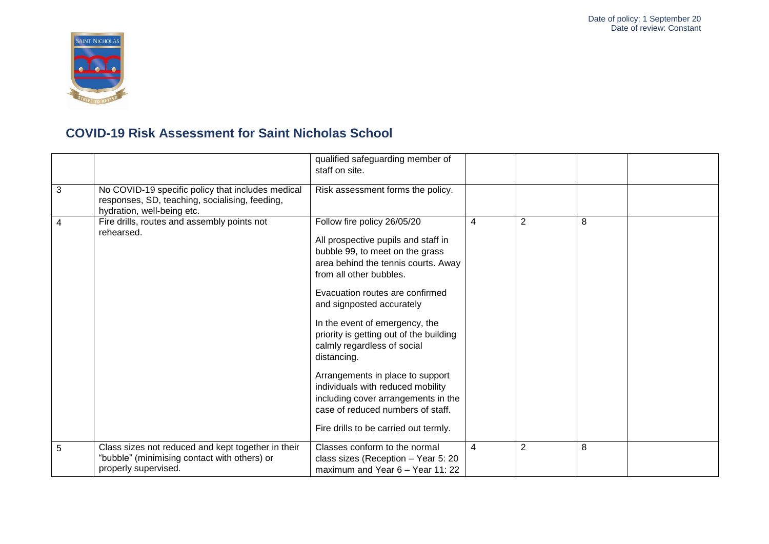

|   |                                                                                                                                   | qualified safeguarding member of<br>staff on site.                                                                                                                                                                                                                                                                                                                                                                                                                                                                                                               |                |                |   |  |
|---|-----------------------------------------------------------------------------------------------------------------------------------|------------------------------------------------------------------------------------------------------------------------------------------------------------------------------------------------------------------------------------------------------------------------------------------------------------------------------------------------------------------------------------------------------------------------------------------------------------------------------------------------------------------------------------------------------------------|----------------|----------------|---|--|
| 3 | No COVID-19 specific policy that includes medical<br>responses, SD, teaching, socialising, feeding,<br>hydration, well-being etc. | Risk assessment forms the policy.                                                                                                                                                                                                                                                                                                                                                                                                                                                                                                                                |                |                |   |  |
| 4 | Fire drills, routes and assembly points not<br>rehearsed.                                                                         | Follow fire policy 26/05/20<br>All prospective pupils and staff in<br>bubble 99, to meet on the grass<br>area behind the tennis courts. Away<br>from all other bubbles.<br>Evacuation routes are confirmed<br>and signposted accurately<br>In the event of emergency, the<br>priority is getting out of the building<br>calmly regardless of social<br>distancing.<br>Arrangements in place to support<br>individuals with reduced mobility<br>including cover arrangements in the<br>case of reduced numbers of staff.<br>Fire drills to be carried out termly. | 4              | $\overline{2}$ | 8 |  |
| 5 | Class sizes not reduced and kept together in their<br>"bubble" (minimising contact with others) or<br>properly supervised.        | Classes conform to the normal<br>class sizes (Reception - Year 5: 20<br>maximum and Year 6 - Year 11: 22                                                                                                                                                                                                                                                                                                                                                                                                                                                         | $\overline{4}$ | $\overline{2}$ | 8 |  |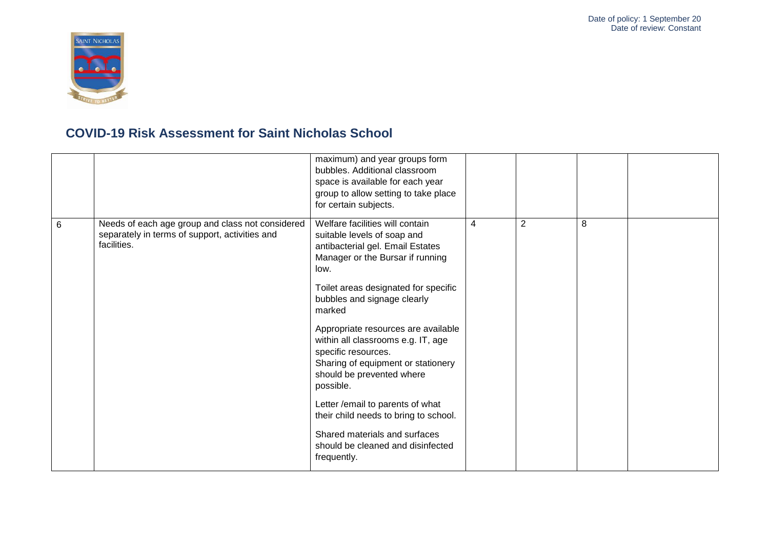

|   |                                                                                                                   | maximum) and year groups form<br>bubbles. Additional classroom<br>space is available for each year<br>group to allow setting to take place<br>for certain subjects.              |   |                |   |  |
|---|-------------------------------------------------------------------------------------------------------------------|----------------------------------------------------------------------------------------------------------------------------------------------------------------------------------|---|----------------|---|--|
| 6 | Needs of each age group and class not considered<br>separately in terms of support, activities and<br>facilities. | Welfare facilities will contain<br>suitable levels of soap and<br>antibacterial gel. Email Estates<br>Manager or the Bursar if running<br>low.                                   | 4 | $\overline{2}$ | 8 |  |
|   |                                                                                                                   | Toilet areas designated for specific<br>bubbles and signage clearly<br>marked                                                                                                    |   |                |   |  |
|   |                                                                                                                   | Appropriate resources are available<br>within all classrooms e.g. IT, age<br>specific resources.<br>Sharing of equipment or stationery<br>should be prevented where<br>possible. |   |                |   |  |
|   |                                                                                                                   | Letter / email to parents of what<br>their child needs to bring to school.                                                                                                       |   |                |   |  |
|   |                                                                                                                   | Shared materials and surfaces<br>should be cleaned and disinfected<br>frequently.                                                                                                |   |                |   |  |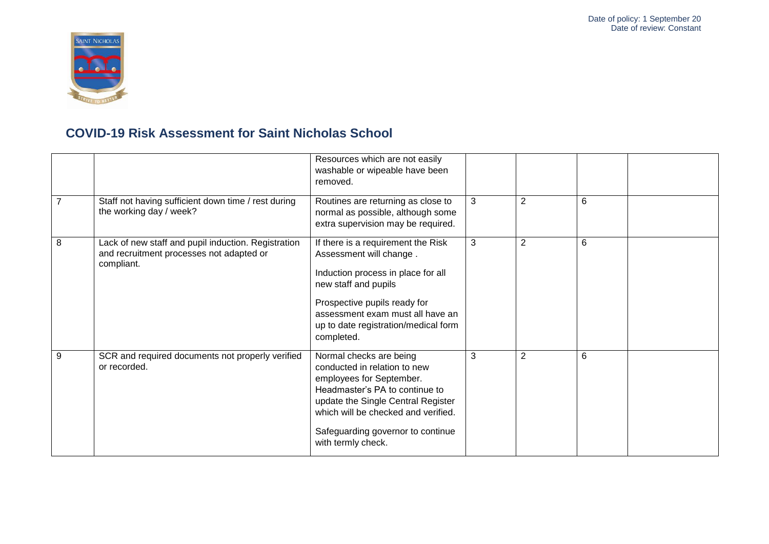

|                |                                                                                                               | Resources which are not easily<br>washable or wipeable have been<br>removed.                                                                                                                                                                                  |   |                |   |  |
|----------------|---------------------------------------------------------------------------------------------------------------|---------------------------------------------------------------------------------------------------------------------------------------------------------------------------------------------------------------------------------------------------------------|---|----------------|---|--|
| $\overline{7}$ | Staff not having sufficient down time / rest during<br>the working day / week?                                | Routines are returning as close to<br>normal as possible, although some<br>extra supervision may be required.                                                                                                                                                 | 3 | $\overline{2}$ | 6 |  |
| 8              | Lack of new staff and pupil induction. Registration<br>and recruitment processes not adapted or<br>compliant. | If there is a requirement the Risk<br>Assessment will change.<br>Induction process in place for all<br>new staff and pupils<br>Prospective pupils ready for<br>assessment exam must all have an<br>up to date registration/medical form<br>completed.         | 3 | 2              | 6 |  |
| 9              | SCR and required documents not properly verified<br>or recorded.                                              | Normal checks are being<br>conducted in relation to new<br>employees for September.<br>Headmaster's PA to continue to<br>update the Single Central Register<br>which will be checked and verified.<br>Safeguarding governor to continue<br>with termly check. | 3 | $\overline{2}$ | 6 |  |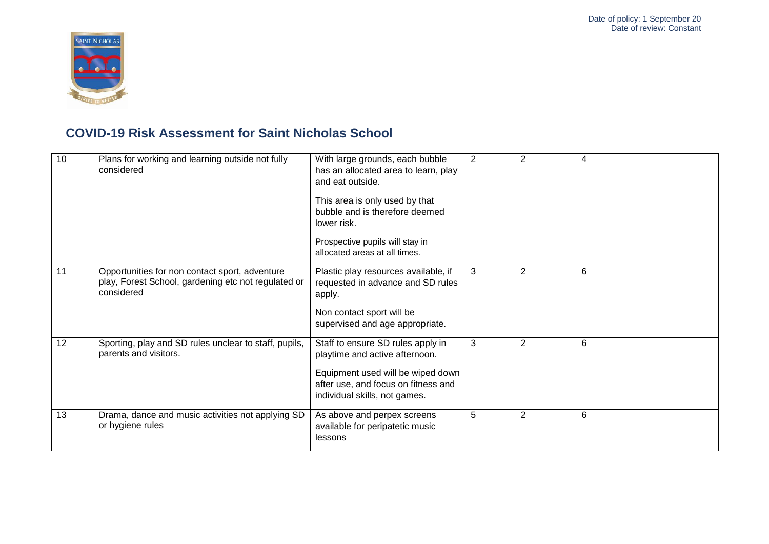

| 10 | Plans for working and learning outside not fully<br>considered                                                      | With large grounds, each bubble<br>has an allocated area to learn, play<br>and eat outside.<br>This area is only used by that<br>bubble and is therefore deemed<br>lower risk.<br>Prospective pupils will stay in<br>allocated areas at all times. | 2 | $\overline{2}$ | 4 |  |
|----|---------------------------------------------------------------------------------------------------------------------|----------------------------------------------------------------------------------------------------------------------------------------------------------------------------------------------------------------------------------------------------|---|----------------|---|--|
| 11 | Opportunities for non contact sport, adventure<br>play, Forest School, gardening etc not regulated or<br>considered | Plastic play resources available, if<br>requested in advance and SD rules<br>apply.<br>Non contact sport will be<br>supervised and age appropriate.                                                                                                | 3 | $\overline{2}$ | 6 |  |
| 12 | Sporting, play and SD rules unclear to staff, pupils,<br>parents and visitors.                                      | Staff to ensure SD rules apply in<br>playtime and active afternoon.<br>Equipment used will be wiped down<br>after use, and focus on fitness and<br>individual skills, not games.                                                                   | 3 | $\overline{2}$ | 6 |  |
| 13 | Drama, dance and music activities not applying SD<br>or hygiene rules                                               | As above and perpex screens<br>available for peripatetic music<br>lessons                                                                                                                                                                          | 5 | $\overline{2}$ | 6 |  |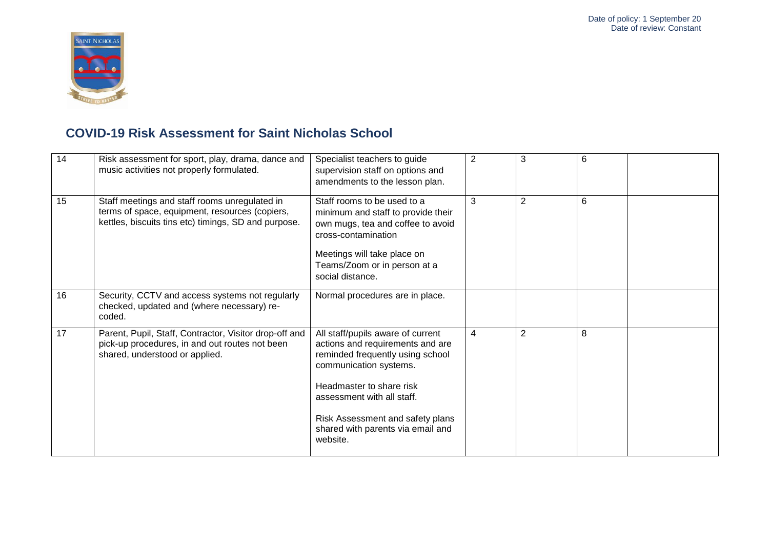

| 14 | Risk assessment for sport, play, drama, dance and<br>music activities not properly formulated.                                                          | Specialist teachers to guide<br>supervision staff on options and<br>amendments to the lesson plan.                                                                                                                                                                                 | $\overline{2}$ | 3              | 6 |  |
|----|---------------------------------------------------------------------------------------------------------------------------------------------------------|------------------------------------------------------------------------------------------------------------------------------------------------------------------------------------------------------------------------------------------------------------------------------------|----------------|----------------|---|--|
| 15 | Staff meetings and staff rooms unregulated in<br>terms of space, equipment, resources (copiers,<br>kettles, biscuits tins etc) timings, SD and purpose. | Staff rooms to be used to a<br>minimum and staff to provide their<br>own mugs, tea and coffee to avoid<br>cross-contamination<br>Meetings will take place on<br>Teams/Zoom or in person at a<br>social distance.                                                                   | 3              | $\overline{2}$ | 6 |  |
| 16 | Security, CCTV and access systems not regularly<br>checked, updated and (where necessary) re-<br>coded.                                                 | Normal procedures are in place.                                                                                                                                                                                                                                                    |                |                |   |  |
| 17 | Parent, Pupil, Staff, Contractor, Visitor drop-off and<br>pick-up procedures, in and out routes not been<br>shared, understood or applied.              | All staff/pupils aware of current<br>actions and requirements and are<br>reminded frequently using school<br>communication systems.<br>Headmaster to share risk<br>assessment with all staff.<br>Risk Assessment and safety plans<br>shared with parents via email and<br>website. | $\overline{4}$ | $\overline{2}$ | 8 |  |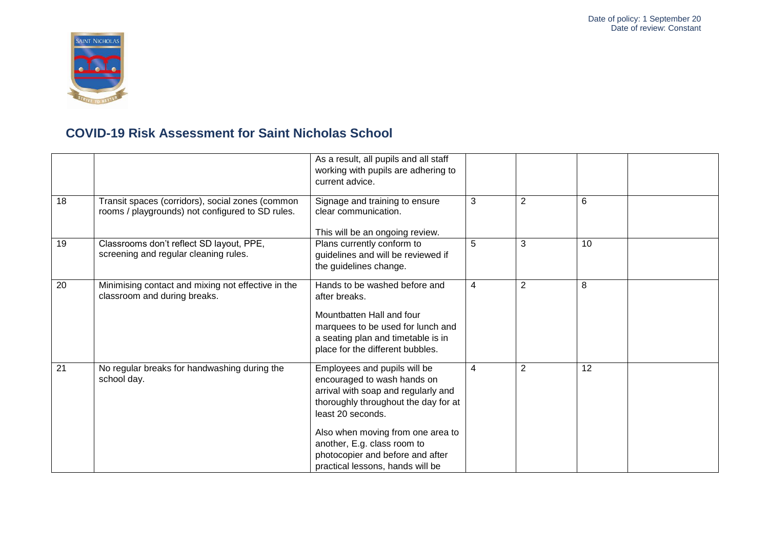

|    |                                                                                                      | As a result, all pupils and all staff<br>working with pupils are adhering to<br>current advice.                                                                                                                                                                                                             |                |                |    |  |
|----|------------------------------------------------------------------------------------------------------|-------------------------------------------------------------------------------------------------------------------------------------------------------------------------------------------------------------------------------------------------------------------------------------------------------------|----------------|----------------|----|--|
| 18 | Transit spaces (corridors), social zones (common<br>rooms / playgrounds) not configured to SD rules. | Signage and training to ensure<br>clear communication.<br>This will be an ongoing review.                                                                                                                                                                                                                   | 3              | 2              | 6  |  |
| 19 | Classrooms don't reflect SD layout, PPE,<br>screening and regular cleaning rules.                    | Plans currently conform to<br>guidelines and will be reviewed if<br>the guidelines change.                                                                                                                                                                                                                  | 5              | 3              | 10 |  |
| 20 | Minimising contact and mixing not effective in the<br>classroom and during breaks.                   | Hands to be washed before and<br>after breaks.<br>Mountbatten Hall and four<br>marquees to be used for lunch and<br>a seating plan and timetable is in<br>place for the different bubbles.                                                                                                                  | $\overline{4}$ | $\overline{2}$ | 8  |  |
| 21 | No regular breaks for handwashing during the<br>school day.                                          | Employees and pupils will be<br>encouraged to wash hands on<br>arrival with soap and regularly and<br>thoroughly throughout the day for at<br>least 20 seconds.<br>Also when moving from one area to<br>another, E.g. class room to<br>photocopier and before and after<br>practical lessons, hands will be | 4              | 2              | 12 |  |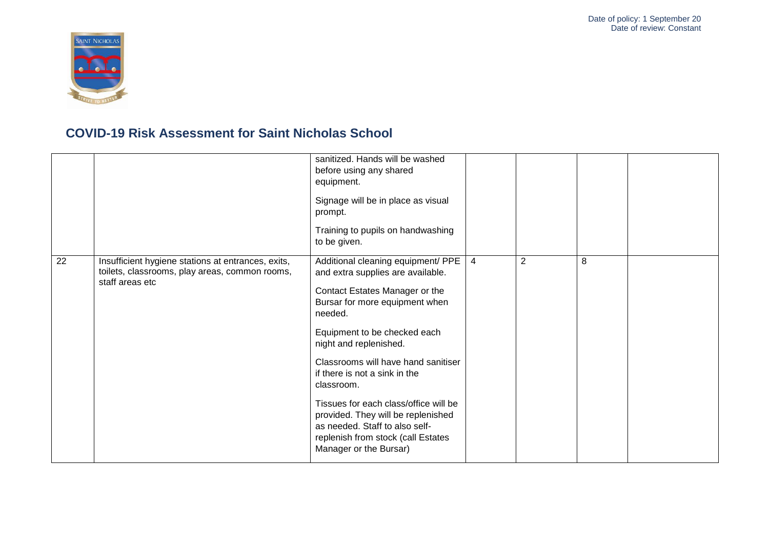

|                 |                                                                                                                         | sanitized. Hands will be washed<br>before using any shared<br>equipment.<br>Signage will be in place as visual<br>prompt.<br>Training to pupils on handwashing<br>to be given.                                                                                                                                                                                                                                                                                                          |   |   |   |  |
|-----------------|-------------------------------------------------------------------------------------------------------------------------|-----------------------------------------------------------------------------------------------------------------------------------------------------------------------------------------------------------------------------------------------------------------------------------------------------------------------------------------------------------------------------------------------------------------------------------------------------------------------------------------|---|---|---|--|
| $\overline{22}$ | Insufficient hygiene stations at entrances, exits,<br>toilets, classrooms, play areas, common rooms,<br>staff areas etc | Additional cleaning equipment/ PPE<br>and extra supplies are available.<br>Contact Estates Manager or the<br>Bursar for more equipment when<br>needed.<br>Equipment to be checked each<br>night and replenished.<br>Classrooms will have hand sanitiser<br>if there is not a sink in the<br>classroom.<br>Tissues for each class/office will be<br>provided. They will be replenished<br>as needed. Staff to also self-<br>replenish from stock (call Estates<br>Manager or the Bursar) | 4 | 2 | 8 |  |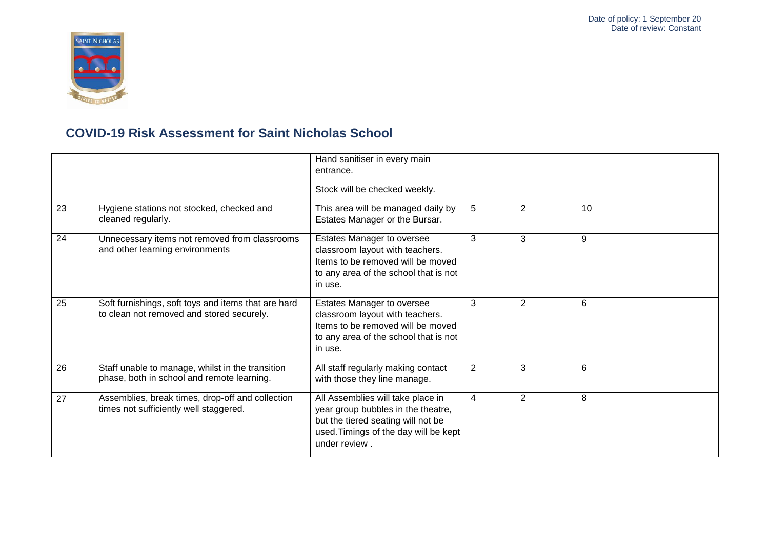

| 23 | Hygiene stations not stocked, checked and<br>cleaned regularly.                                  | Hand sanitiser in every main<br>entrance.<br>Stock will be checked weekly.<br>This area will be managed daily by<br>Estates Manager or the Bursar.                      | 5              | $\overline{2}$ | 10 |  |
|----|--------------------------------------------------------------------------------------------------|-------------------------------------------------------------------------------------------------------------------------------------------------------------------------|----------------|----------------|----|--|
| 24 | Unnecessary items not removed from classrooms<br>and other learning environments                 | Estates Manager to oversee<br>classroom layout with teachers.<br>Items to be removed will be moved<br>to any area of the school that is not<br>in use.                  | 3              | 3              | 9  |  |
| 25 | Soft furnishings, soft toys and items that are hard<br>to clean not removed and stored securely. | Estates Manager to oversee<br>classroom layout with teachers.<br>Items to be removed will be moved<br>to any area of the school that is not<br>in use.                  | 3              | 2              | 6  |  |
| 26 | Staff unable to manage, whilst in the transition<br>phase, both in school and remote learning.   | All staff regularly making contact<br>with those they line manage.                                                                                                      | $\overline{2}$ | 3              | 6  |  |
| 27 | Assemblies, break times, drop-off and collection<br>times not sufficiently well staggered.       | All Assemblies will take place in<br>year group bubbles in the theatre,<br>but the tiered seating will not be<br>used. Timings of the day will be kept<br>under review. | $\overline{4}$ | 2              | 8  |  |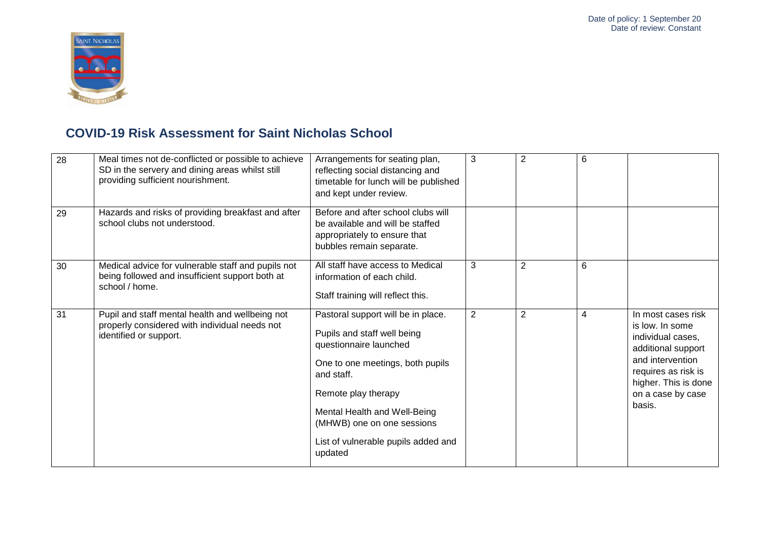

| 28              | Meal times not de-conflicted or possible to achieve<br>SD in the servery and dining areas whilst still<br>providing sufficient nourishment. | Arrangements for seating plan,<br>reflecting social distancing and<br>timetable for lunch will be published<br>and kept under review.                                                                                                                                                | 3              | $\overline{2}$ | 6              |                                                                                                                                                                                    |
|-----------------|---------------------------------------------------------------------------------------------------------------------------------------------|--------------------------------------------------------------------------------------------------------------------------------------------------------------------------------------------------------------------------------------------------------------------------------------|----------------|----------------|----------------|------------------------------------------------------------------------------------------------------------------------------------------------------------------------------------|
| 29              | Hazards and risks of providing breakfast and after<br>school clubs not understood.                                                          | Before and after school clubs will<br>be available and will be staffed<br>appropriately to ensure that<br>bubbles remain separate.                                                                                                                                                   |                |                |                |                                                                                                                                                                                    |
| 30              | Medical advice for vulnerable staff and pupils not<br>being followed and insufficient support both at<br>school / home.                     | All staff have access to Medical<br>information of each child.<br>Staff training will reflect this.                                                                                                                                                                                  | 3              | $\overline{2}$ | $6\phantom{1}$ |                                                                                                                                                                                    |
| $\overline{31}$ | Pupil and staff mental health and wellbeing not<br>properly considered with individual needs not<br>identified or support.                  | Pastoral support will be in place.<br>Pupils and staff well being<br>questionnaire launched<br>One to one meetings, both pupils<br>and staff.<br>Remote play therapy<br>Mental Health and Well-Being<br>(MHWB) one on one sessions<br>List of vulnerable pupils added and<br>updated | $\overline{2}$ | 2              | 4              | In most cases risk<br>is low. In some<br>individual cases,<br>additional support<br>and intervention<br>requires as risk is<br>higher. This is done<br>on a case by case<br>basis. |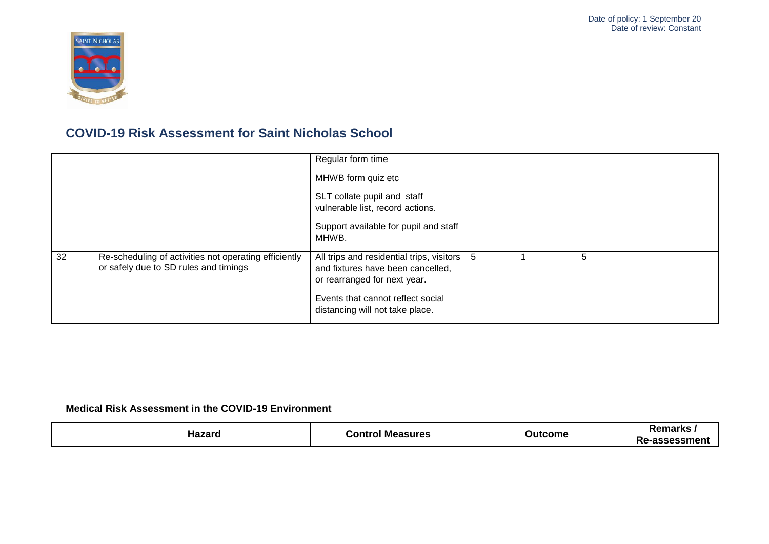

|    |                                                                                                | Regular form time                                                                                              |   |   |  |
|----|------------------------------------------------------------------------------------------------|----------------------------------------------------------------------------------------------------------------|---|---|--|
|    |                                                                                                | MHWB form quiz etc                                                                                             |   |   |  |
|    |                                                                                                | SLT collate pupil and staff<br>vulnerable list, record actions.                                                |   |   |  |
|    |                                                                                                | Support available for pupil and staff<br>MHWB.                                                                 |   |   |  |
| 32 | Re-scheduling of activities not operating efficiently<br>or safely due to SD rules and timings | All trips and residential trips, visitors<br>and fixtures have been cancelled,<br>or rearranged for next year. | 5 | 5 |  |
|    |                                                                                                | Events that cannot reflect social<br>distancing will not take place.                                           |   |   |  |

#### **Medical Risk Assessment in the COVID-19 Environment**

| ⊣azard | <b>Contro</b><br>rol Measures | <b>Dutcome</b> | Remarks<br>-assessment<br>١c |
|--------|-------------------------------|----------------|------------------------------|
|--------|-------------------------------|----------------|------------------------------|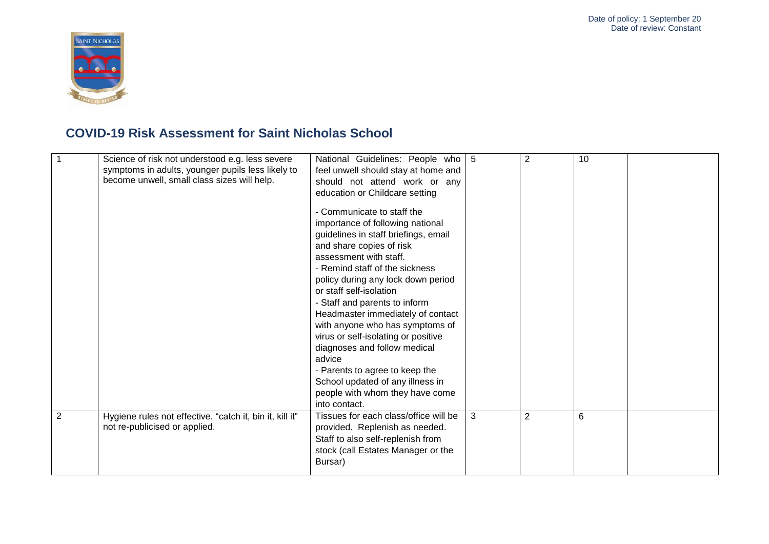

|   | Science of risk not understood e.g. less severe<br>symptoms in adults, younger pupils less likely to<br>become unwell, small class sizes will help. | National Guidelines: People who<br>feel unwell should stay at home and<br>should not attend work or any<br>education or Childcare setting<br>- Communicate to staff the<br>importance of following national<br>guidelines in staff briefings, email<br>and share copies of risk<br>assessment with staff.<br>- Remind staff of the sickness<br>policy during any lock down period<br>or staff self-isolation<br>- Staff and parents to inform<br>Headmaster immediately of contact<br>with anyone who has symptoms of<br>virus or self-isolating or positive<br>diagnoses and follow medical<br>advice<br>- Parents to agree to keep the<br>School updated of any illness in<br>people with whom they have come<br>into contact. | 5 | $\overline{2}$ | 10 |  |
|---|-----------------------------------------------------------------------------------------------------------------------------------------------------|----------------------------------------------------------------------------------------------------------------------------------------------------------------------------------------------------------------------------------------------------------------------------------------------------------------------------------------------------------------------------------------------------------------------------------------------------------------------------------------------------------------------------------------------------------------------------------------------------------------------------------------------------------------------------------------------------------------------------------|---|----------------|----|--|
| 2 | Hygiene rules not effective. "catch it, bin it, kill it"<br>not re-publicised or applied.                                                           | Tissues for each class/office will be<br>provided. Replenish as needed.<br>Staff to also self-replenish from<br>stock (call Estates Manager or the<br>Bursar)                                                                                                                                                                                                                                                                                                                                                                                                                                                                                                                                                                    | 3 | $\overline{2}$ | 6  |  |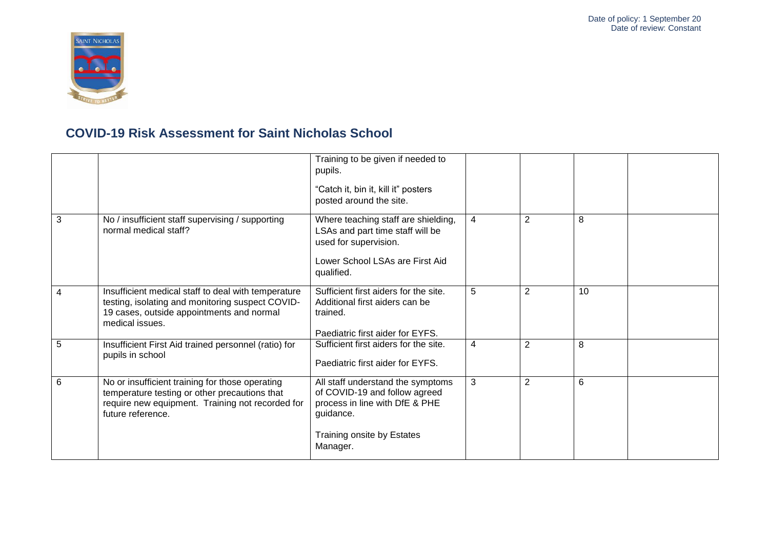

|                 |                                                                                                                                                                           | Training to be given if needed to<br>pupils.<br>"Catch it, bin it, kill it" posters<br>posted around the site.                                              |                |                |    |  |
|-----------------|---------------------------------------------------------------------------------------------------------------------------------------------------------------------------|-------------------------------------------------------------------------------------------------------------------------------------------------------------|----------------|----------------|----|--|
| 3               | No / insufficient staff supervising / supporting<br>normal medical staff?                                                                                                 | Where teaching staff are shielding,<br>LSAs and part time staff will be<br>used for supervision.<br>Lower School LSAs are First Aid<br>qualified.           | $\overline{4}$ | 2              | 8  |  |
| 4               | Insufficient medical staff to deal with temperature<br>testing, isolating and monitoring suspect COVID-<br>19 cases, outside appointments and normal<br>medical issues.   | Sufficient first aiders for the site.<br>Additional first aiders can be<br>trained.<br>Paediatric first aider for EYFS.                                     | 5              | $\overline{2}$ | 10 |  |
| 5               | Insufficient First Aid trained personnel (ratio) for<br>pupils in school                                                                                                  | Sufficient first aiders for the site.<br>Paediatric first aider for EYFS.                                                                                   | $\overline{4}$ | 2              | 8  |  |
| $6\phantom{1}6$ | No or insufficient training for those operating<br>temperature testing or other precautions that<br>require new equipment. Training not recorded for<br>future reference. | All staff understand the symptoms<br>of COVID-19 and follow agreed<br>process in line with DfE & PHE<br>guidance.<br>Training onsite by Estates<br>Manager. | 3              | $\overline{2}$ | 6  |  |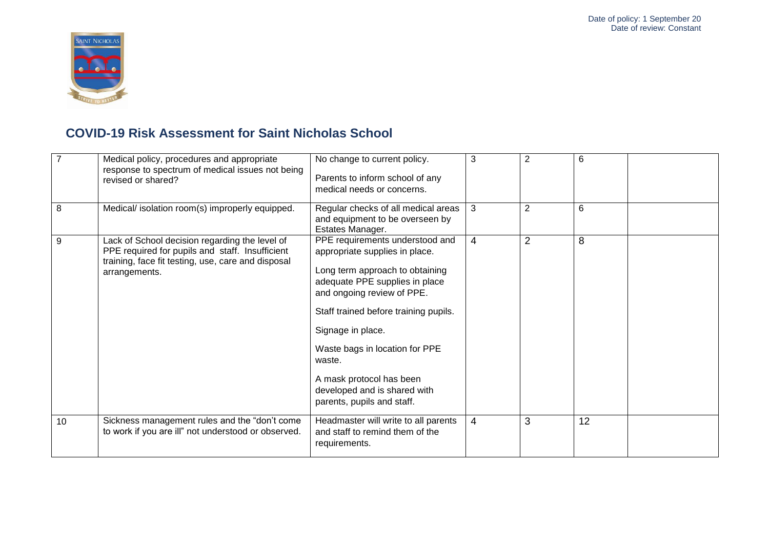

|    | Medical policy, procedures and appropriate<br>response to spectrum of medical issues not being<br>revised or shared?                                                     | No change to current policy.<br>Parents to inform school of any<br>medical needs or concerns.                                                                                                                                                                                                                                                                            | 3              | 2 | 6  |
|----|--------------------------------------------------------------------------------------------------------------------------------------------------------------------------|--------------------------------------------------------------------------------------------------------------------------------------------------------------------------------------------------------------------------------------------------------------------------------------------------------------------------------------------------------------------------|----------------|---|----|
| 8  | Medical/ isolation room(s) improperly equipped.                                                                                                                          | Regular checks of all medical areas<br>and equipment to be overseen by<br>Estates Manager.                                                                                                                                                                                                                                                                               | 3              | 2 | 6  |
| 9  | Lack of School decision regarding the level of<br>PPE required for pupils and staff. Insufficient<br>training, face fit testing, use, care and disposal<br>arrangements. | PPE requirements understood and<br>appropriate supplies in place.<br>Long term approach to obtaining<br>adequate PPE supplies in place<br>and ongoing review of PPE.<br>Staff trained before training pupils.<br>Signage in place.<br>Waste bags in location for PPE<br>waste.<br>A mask protocol has been<br>developed and is shared with<br>parents, pupils and staff. | $\overline{4}$ | 2 | 8  |
| 10 | Sickness management rules and the "don't come<br>to work if you are ill" not understood or observed.                                                                     | Headmaster will write to all parents<br>and staff to remind them of the<br>requirements.                                                                                                                                                                                                                                                                                 | $\overline{4}$ | 3 | 12 |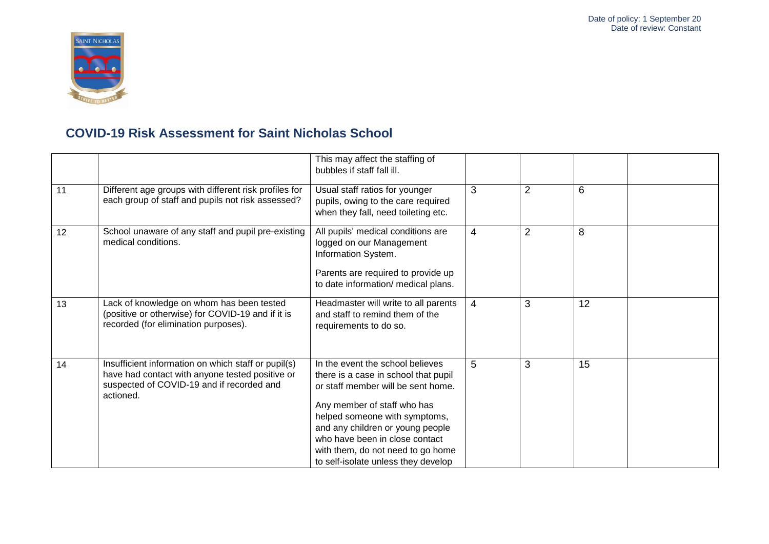

|    |                                                                                                                                                                  | This may affect the staffing of<br>bubbles if staff fall ill.                                                                                                                                                                                                                                                                    |                |                |    |  |
|----|------------------------------------------------------------------------------------------------------------------------------------------------------------------|----------------------------------------------------------------------------------------------------------------------------------------------------------------------------------------------------------------------------------------------------------------------------------------------------------------------------------|----------------|----------------|----|--|
| 11 | Different age groups with different risk profiles for<br>each group of staff and pupils not risk assessed?                                                       | Usual staff ratios for younger<br>pupils, owing to the care required<br>when they fall, need toileting etc.                                                                                                                                                                                                                      | 3              | $\overline{2}$ | 6  |  |
| 12 | School unaware of any staff and pupil pre-existing<br>medical conditions.                                                                                        | All pupils' medical conditions are<br>logged on our Management<br>Information System.<br>Parents are required to provide up<br>to date information/ medical plans.                                                                                                                                                               | $\overline{4}$ | 2              | 8  |  |
| 13 | Lack of knowledge on whom has been tested<br>(positive or otherwise) for COVID-19 and if it is<br>recorded (for elimination purposes).                           | Headmaster will write to all parents<br>and staff to remind them of the<br>requirements to do so.                                                                                                                                                                                                                                | $\overline{4}$ | 3              | 12 |  |
| 14 | Insufficient information on which staff or pupil(s)<br>have had contact with anyone tested positive or<br>suspected of COVID-19 and if recorded and<br>actioned. | In the event the school believes<br>there is a case in school that pupil<br>or staff member will be sent home.<br>Any member of staff who has<br>helped someone with symptoms,<br>and any children or young people<br>who have been in close contact<br>with them, do not need to go home<br>to self-isolate unless they develop | 5              | 3              | 15 |  |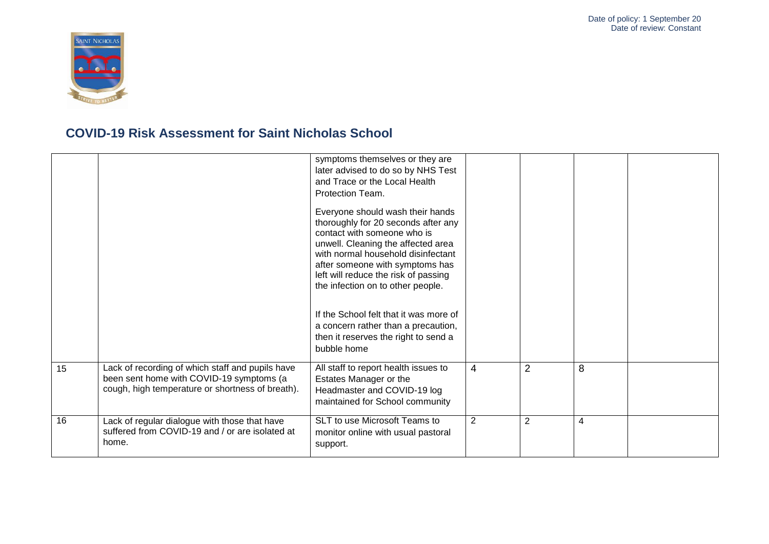

|    |                                                                                                                                                  | symptoms themselves or they are<br>later advised to do so by NHS Test<br>and Trace or the Local Health<br>Protection Team.<br>Everyone should wash their hands<br>thoroughly for 20 seconds after any<br>contact with someone who is<br>unwell. Cleaning the affected area<br>with normal household disinfectant<br>after someone with symptoms has<br>left will reduce the risk of passing<br>the infection on to other people. |   |                |   |  |
|----|--------------------------------------------------------------------------------------------------------------------------------------------------|----------------------------------------------------------------------------------------------------------------------------------------------------------------------------------------------------------------------------------------------------------------------------------------------------------------------------------------------------------------------------------------------------------------------------------|---|----------------|---|--|
|    |                                                                                                                                                  | If the School felt that it was more of<br>a concern rather than a precaution,<br>then it reserves the right to send a<br>bubble home                                                                                                                                                                                                                                                                                             |   |                |   |  |
| 15 | Lack of recording of which staff and pupils have<br>been sent home with COVID-19 symptoms (a<br>cough, high temperature or shortness of breath). | All staff to report health issues to<br>Estates Manager or the<br>Headmaster and COVID-19 log<br>maintained for School community                                                                                                                                                                                                                                                                                                 | 4 | $\overline{2}$ | 8 |  |
| 16 | Lack of regular dialogue with those that have<br>suffered from COVID-19 and / or are isolated at<br>home.                                        | SLT to use Microsoft Teams to<br>monitor online with usual pastoral<br>support.                                                                                                                                                                                                                                                                                                                                                  | 2 | 2              | 4 |  |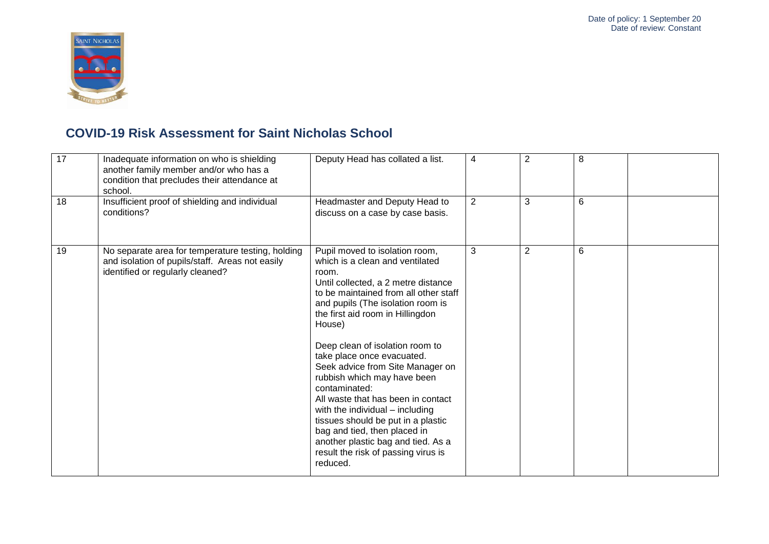

| $\overline{17}$ | Inadequate information on who is shielding<br>another family member and/or who has a<br>condition that precludes their attendance at<br>school. | Deputy Head has collated a list.                                                                                                                                                                                                                                                                                                                                                                                                                                                                                                                                                                                                           | 4 | 2              | 8 |  |
|-----------------|-------------------------------------------------------------------------------------------------------------------------------------------------|--------------------------------------------------------------------------------------------------------------------------------------------------------------------------------------------------------------------------------------------------------------------------------------------------------------------------------------------------------------------------------------------------------------------------------------------------------------------------------------------------------------------------------------------------------------------------------------------------------------------------------------------|---|----------------|---|--|
| $\overline{18}$ | Insufficient proof of shielding and individual<br>conditions?                                                                                   | Headmaster and Deputy Head to<br>discuss on a case by case basis.                                                                                                                                                                                                                                                                                                                                                                                                                                                                                                                                                                          | 2 | 3              | 6 |  |
| 19              | No separate area for temperature testing, holding<br>and isolation of pupils/staff. Areas not easily<br>identified or regularly cleaned?        | Pupil moved to isolation room,<br>which is a clean and ventilated<br>room.<br>Until collected, a 2 metre distance<br>to be maintained from all other staff<br>and pupils (The isolation room is<br>the first aid room in Hillingdon<br>House)<br>Deep clean of isolation room to<br>take place once evacuated.<br>Seek advice from Site Manager on<br>rubbish which may have been<br>contaminated:<br>All waste that has been in contact<br>with the individual - including<br>tissues should be put in a plastic<br>bag and tied, then placed in<br>another plastic bag and tied. As a<br>result the risk of passing virus is<br>reduced. | 3 | $\overline{2}$ | 6 |  |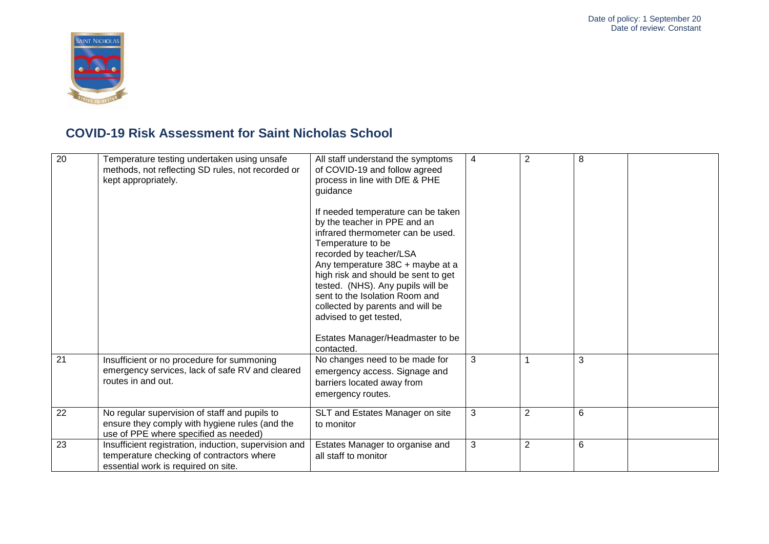

| $\overline{20}$ | Temperature testing undertaken using unsafe<br>methods, not reflecting SD rules, not recorded or<br>kept appropriately.                   | All staff understand the symptoms<br>of COVID-19 and follow agreed<br>process in line with DfE & PHE<br>guidance<br>If needed temperature can be taken<br>by the teacher in PPE and an<br>infrared thermometer can be used.<br>Temperature to be<br>recorded by teacher/LSA<br>Any temperature 38C + maybe at a<br>high risk and should be sent to get<br>tested. (NHS). Any pupils will be<br>sent to the Isolation Room and<br>collected by parents and will be<br>advised to get tested,<br>Estates Manager/Headmaster to be<br>contacted. | 4 | 2              | 8 |  |
|-----------------|-------------------------------------------------------------------------------------------------------------------------------------------|-----------------------------------------------------------------------------------------------------------------------------------------------------------------------------------------------------------------------------------------------------------------------------------------------------------------------------------------------------------------------------------------------------------------------------------------------------------------------------------------------------------------------------------------------|---|----------------|---|--|
| 21              | Insufficient or no procedure for summoning<br>emergency services, lack of safe RV and cleared<br>routes in and out.                       | No changes need to be made for<br>emergency access. Signage and<br>barriers located away from<br>emergency routes.                                                                                                                                                                                                                                                                                                                                                                                                                            | 3 | 1              | 3 |  |
| 22              | No regular supervision of staff and pupils to<br>ensure they comply with hygiene rules (and the<br>use of PPE where specified as needed)  | SLT and Estates Manager on site<br>to monitor                                                                                                                                                                                                                                                                                                                                                                                                                                                                                                 | 3 | $\overline{2}$ | 6 |  |
| 23              | Insufficient registration, induction, supervision and<br>temperature checking of contractors where<br>essential work is required on site. | Estates Manager to organise and<br>all staff to monitor                                                                                                                                                                                                                                                                                                                                                                                                                                                                                       | 3 | $\overline{2}$ | 6 |  |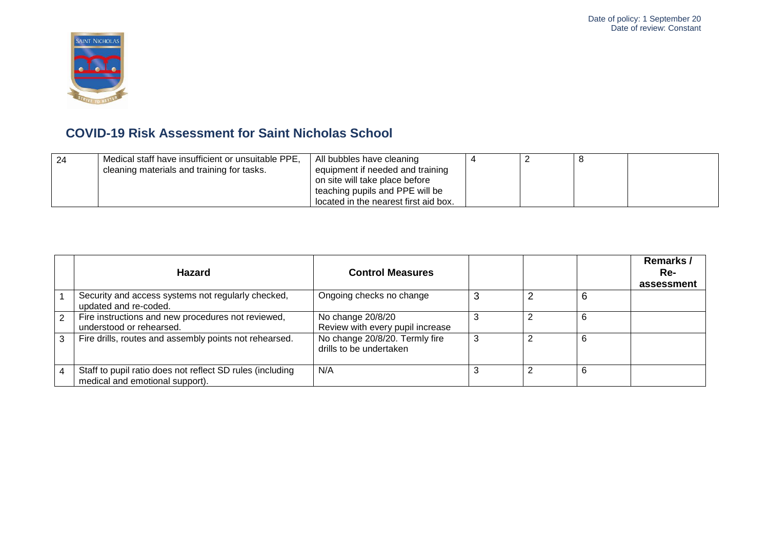

| -24 | Medical staff have insufficient or unsuitable PPE, | All bubbles have cleaning             |  |  |
|-----|----------------------------------------------------|---------------------------------------|--|--|
|     | cleaning materials and training for tasks.         | equipment if needed and training      |  |  |
|     |                                                    | on site will take place before        |  |  |
|     |                                                    | teaching pupils and PPE will be       |  |  |
|     |                                                    | located in the nearest first aid box. |  |  |

|   | <b>Hazard</b>                                                                                | <b>Control Measures</b>                                   |   |   | Remarks /<br>Re-<br>assessment |
|---|----------------------------------------------------------------------------------------------|-----------------------------------------------------------|---|---|--------------------------------|
|   | Security and access systems not regularly checked,<br>updated and re-coded.                  | Ongoing checks no change                                  |   | 6 |                                |
| 2 | Fire instructions and new procedures not reviewed,<br>understood or rehearsed.               | No change 20/8/20<br>Review with every pupil increase     |   | 6 |                                |
| 3 | Fire drills, routes and assembly points not rehearsed.                                       | No change 20/8/20. Termly fire<br>drills to be undertaken | 3 | 6 |                                |
|   | Staff to pupil ratio does not reflect SD rules (including<br>medical and emotional support). | N/A                                                       |   | 6 |                                |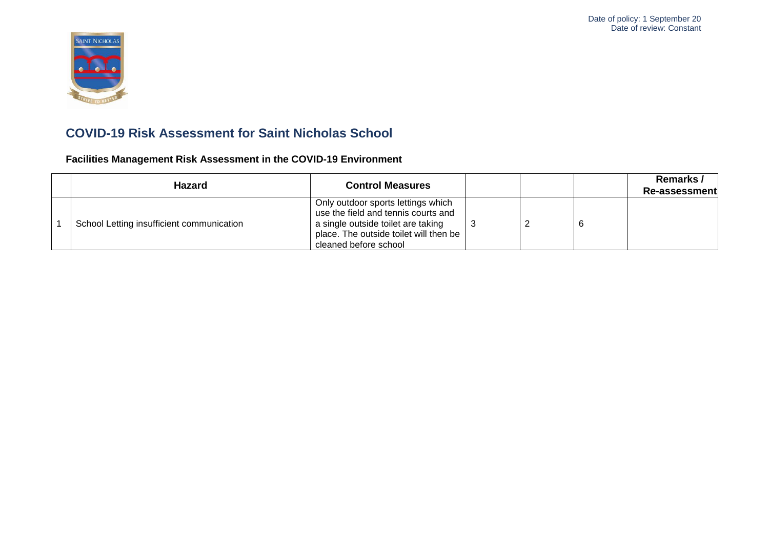

**Facilities Management Risk Assessment in the COVID-19 Environment**

| Hazard                                    | <b>Control Measures</b>                                                                                                                                                            |  | Remarks /<br>Re-assessment |
|-------------------------------------------|------------------------------------------------------------------------------------------------------------------------------------------------------------------------------------|--|----------------------------|
| School Letting insufficient communication | Only outdoor sports lettings which<br>use the field and tennis courts and<br>a single outside toilet are taking<br>place. The outside toilet will then be<br>cleaned before school |  |                            |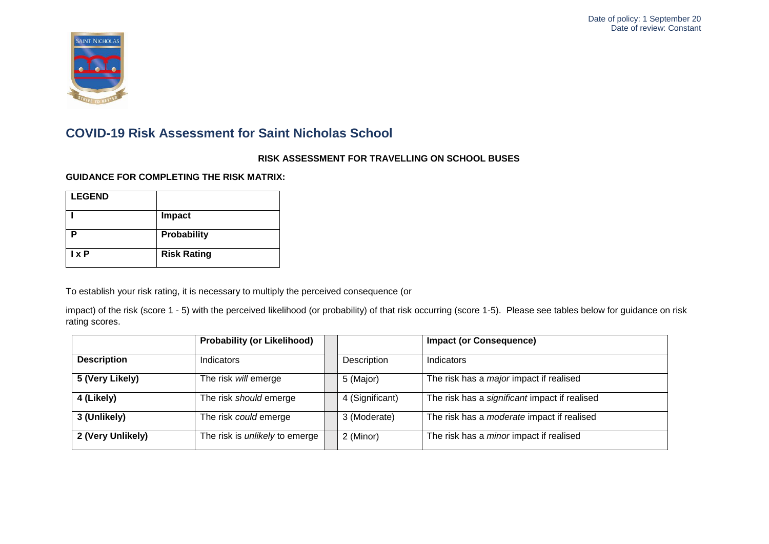

#### **RISK ASSESSMENT FOR TRAVELLING ON SCHOOL BUSES**

#### **GUIDANCE FOR COMPLETING THE RISK MATRIX:**

| LEGEND       |                    |
|--------------|--------------------|
|              | Impact             |
|              | Probability        |
| $l \times P$ | <b>Risk Rating</b> |

To establish your risk rating, it is necessary to multiply the perceived consequence (or

impact) of the risk (score 1 - 5) with the perceived likelihood (or probability) of that risk occurring (score 1-5). Please see tables below for guidance on risk rating scores.

|                    | <b>Probability (or Likelihood)</b>    |                 | <b>Impact (or Consequence)</b>                    |
|--------------------|---------------------------------------|-----------------|---------------------------------------------------|
| <b>Description</b> | Indicators                            | Description     | Indicators                                        |
| 5 (Very Likely)    | The risk will emerge                  | 5 (Major)       | The risk has a <i>major</i> impact if realised    |
| 4 (Likely)         | The risk should emerge                | 4 (Significant) | The risk has a significant impact if realised     |
| 3 (Unlikely)       | The risk could emerge                 | 3 (Moderate)    | The risk has a <i>moderate</i> impact if realised |
| 2 (Very Unlikely)  | The risk is <i>unlikely</i> to emerge | 2 (Minor)       | The risk has a <i>minor</i> impact if realised    |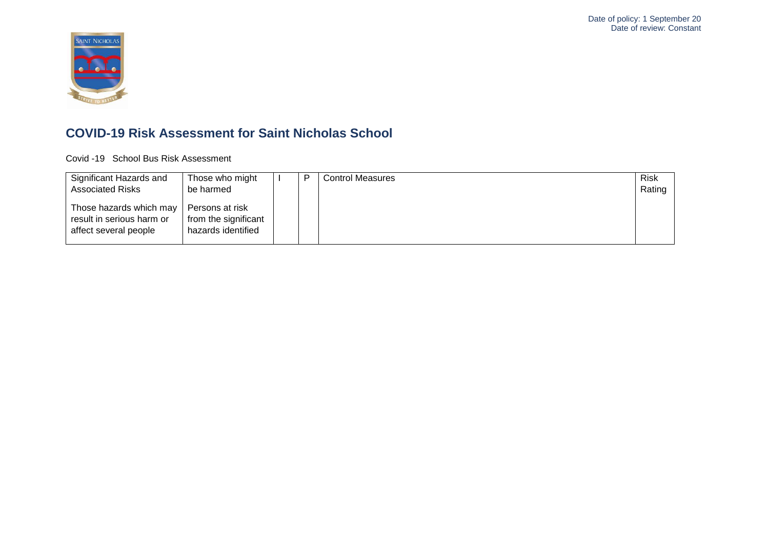

Covid -19 School Bus Risk Assessment

| Significant Hazards and<br><b>Associated Risks</b>                            | Those who might<br>be harmed                                  | D | <b>Control Measures</b> | Risk<br>Rating |
|-------------------------------------------------------------------------------|---------------------------------------------------------------|---|-------------------------|----------------|
| Those hazards which may<br>result in serious harm or<br>affect several people | Persons at risk<br>from the significant<br>hazards identified |   |                         |                |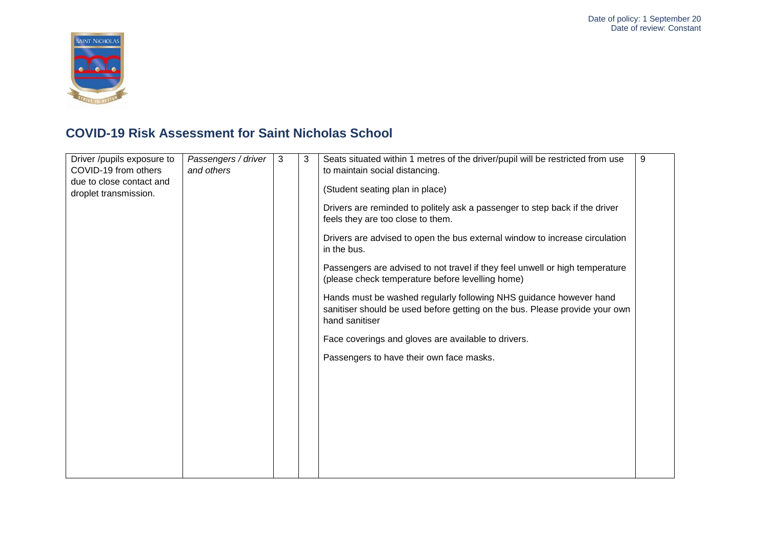

| Driver /pupils exposure to<br>COVID-19 from others<br>due to close contact and<br>droplet transmission. | Passengers / driver<br>and others | 3 | 3 | Seats situated within 1 metres of the driver/pupil will be restricted from use<br>to maintain social distancing.<br>(Student seating plan in place)<br>Drivers are reminded to politely ask a passenger to step back if the driver<br>feels they are too close to them.<br>Drivers are advised to open the bus external window to increase circulation<br>in the bus.<br>Passengers are advised to not travel if they feel unwell or high temperature<br>(please check temperature before levelling home)<br>Hands must be washed regularly following NHS guidance however hand<br>sanitiser should be used before getting on the bus. Please provide your own<br>hand sanitiser<br>Face coverings and gloves are available to drivers.<br>Passengers to have their own face masks. | 9 |
|---------------------------------------------------------------------------------------------------------|-----------------------------------|---|---|-------------------------------------------------------------------------------------------------------------------------------------------------------------------------------------------------------------------------------------------------------------------------------------------------------------------------------------------------------------------------------------------------------------------------------------------------------------------------------------------------------------------------------------------------------------------------------------------------------------------------------------------------------------------------------------------------------------------------------------------------------------------------------------|---|
|---------------------------------------------------------------------------------------------------------|-----------------------------------|---|---|-------------------------------------------------------------------------------------------------------------------------------------------------------------------------------------------------------------------------------------------------------------------------------------------------------------------------------------------------------------------------------------------------------------------------------------------------------------------------------------------------------------------------------------------------------------------------------------------------------------------------------------------------------------------------------------------------------------------------------------------------------------------------------------|---|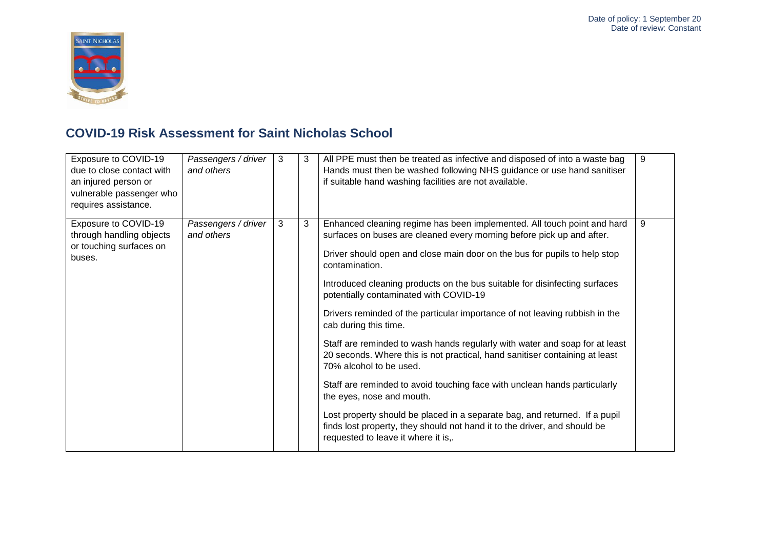

| Exposure to COVID-19<br>due to close contact with<br>an injured person or<br>vulnerable passenger who<br>requires assistance. | Passengers / driver<br>and others | 3 | 3 | All PPE must then be treated as infective and disposed of into a waste bag<br>Hands must then be washed following NHS guidance or use hand sanitiser<br>if suitable hand washing facilities are not available.                                                                                                                                                                                                                                                                                                                                                                                                                                                                                                                                                                                                                                                                                                                                                                       | 9 |
|-------------------------------------------------------------------------------------------------------------------------------|-----------------------------------|---|---|--------------------------------------------------------------------------------------------------------------------------------------------------------------------------------------------------------------------------------------------------------------------------------------------------------------------------------------------------------------------------------------------------------------------------------------------------------------------------------------------------------------------------------------------------------------------------------------------------------------------------------------------------------------------------------------------------------------------------------------------------------------------------------------------------------------------------------------------------------------------------------------------------------------------------------------------------------------------------------------|---|
| Exposure to COVID-19<br>through handling objects<br>or touching surfaces on<br>buses.                                         | Passengers / driver<br>and others | 3 | 3 | Enhanced cleaning regime has been implemented. All touch point and hard<br>surfaces on buses are cleaned every morning before pick up and after.<br>Driver should open and close main door on the bus for pupils to help stop<br>contamination.<br>Introduced cleaning products on the bus suitable for disinfecting surfaces<br>potentially contaminated with COVID-19<br>Drivers reminded of the particular importance of not leaving rubbish in the<br>cab during this time.<br>Staff are reminded to wash hands regularly with water and soap for at least<br>20 seconds. Where this is not practical, hand sanitiser containing at least<br>70% alcohol to be used.<br>Staff are reminded to avoid touching face with unclean hands particularly<br>the eyes, nose and mouth.<br>Lost property should be placed in a separate bag, and returned. If a pupil<br>finds lost property, they should not hand it to the driver, and should be<br>requested to leave it where it is,. | 9 |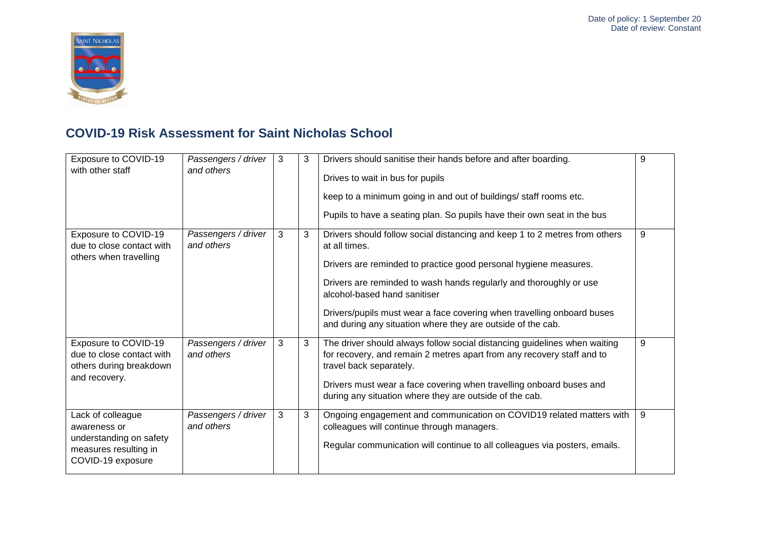

| Exposure to COVID-19<br>with other staff                                                                   | Passengers / driver<br>and others | 3 | 3 | Drivers should sanitise their hands before and after boarding.<br>Drives to wait in bus for pupils<br>keep to a minimum going in and out of buildings/ staff rooms etc.<br>Pupils to have a seating plan. So pupils have their own seat in the bus                                                                                                                                                             | 9 |
|------------------------------------------------------------------------------------------------------------|-----------------------------------|---|---|----------------------------------------------------------------------------------------------------------------------------------------------------------------------------------------------------------------------------------------------------------------------------------------------------------------------------------------------------------------------------------------------------------------|---|
| Exposure to COVID-19<br>due to close contact with<br>others when travelling                                | Passengers / driver<br>and others | 3 | 3 | Drivers should follow social distancing and keep 1 to 2 metres from others<br>at all times.<br>Drivers are reminded to practice good personal hygiene measures.<br>Drivers are reminded to wash hands regularly and thoroughly or use<br>alcohol-based hand sanitiser<br>Drivers/pupils must wear a face covering when travelling onboard buses<br>and during any situation where they are outside of the cab. | 9 |
| Exposure to COVID-19<br>due to close contact with<br>others during breakdown<br>and recovery.              | Passengers / driver<br>and others | 3 | 3 | The driver should always follow social distancing guidelines when waiting<br>for recovery, and remain 2 metres apart from any recovery staff and to<br>travel back separately.<br>Drivers must wear a face covering when travelling onboard buses and<br>during any situation where they are outside of the cab.                                                                                               | 9 |
| Lack of colleague<br>awareness or<br>understanding on safety<br>measures resulting in<br>COVID-19 exposure | Passengers / driver<br>and others | 3 | 3 | Ongoing engagement and communication on COVID19 related matters with<br>colleagues will continue through managers.<br>Regular communication will continue to all colleagues via posters, emails.                                                                                                                                                                                                               | 9 |